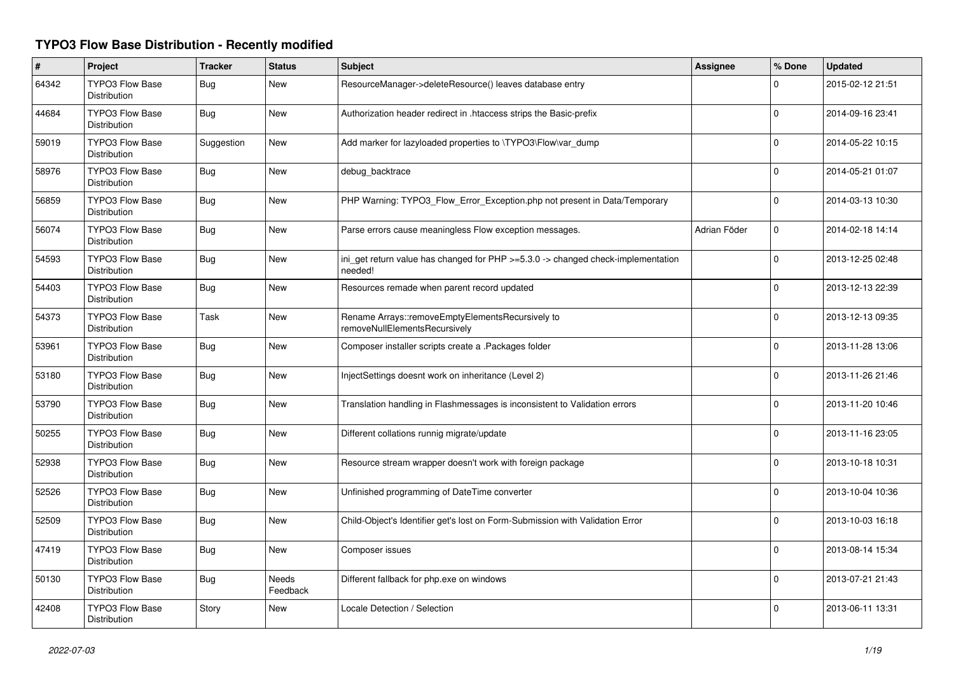## **TYPO3 Flow Base Distribution - Recently modified**

| $\#$  | Project                                       | <b>Tracker</b> | <b>Status</b>            | Subject                                                                                     | Assignee     | % Done      | <b>Updated</b>   |
|-------|-----------------------------------------------|----------------|--------------------------|---------------------------------------------------------------------------------------------|--------------|-------------|------------------|
| 64342 | <b>TYPO3 Flow Base</b><br><b>Distribution</b> | <b>Bug</b>     | <b>New</b>               | ResourceManager->deleteResource() leaves database entry                                     |              | $\Omega$    | 2015-02-12 21:51 |
| 44684 | <b>TYPO3 Flow Base</b><br><b>Distribution</b> | <b>Bug</b>     | <b>New</b>               | Authorization header redirect in .htaccess strips the Basic-prefix                          |              | $\Omega$    | 2014-09-16 23:41 |
| 59019 | <b>TYPO3 Flow Base</b><br><b>Distribution</b> | Suggestion     | New                      | Add marker for lazyloaded properties to \TYPO3\Flow\var_dump                                |              | $\Omega$    | 2014-05-22 10:15 |
| 58976 | <b>TYPO3 Flow Base</b><br>Distribution        | <b>Bug</b>     | <b>New</b>               | debug_backtrace                                                                             |              | $\Omega$    | 2014-05-21 01:07 |
| 56859 | <b>TYPO3 Flow Base</b><br>Distribution        | <b>Bug</b>     | <b>New</b>               | PHP Warning: TYPO3_Flow_Error_Exception.php not present in Data/Temporary                   |              | $\Omega$    | 2014-03-13 10:30 |
| 56074 | <b>TYPO3 Flow Base</b><br>Distribution        | <b>Bug</b>     | <b>New</b>               | Parse errors cause meaningless Flow exception messages.                                     | Adrian Föder | $\mathbf 0$ | 2014-02-18 14:14 |
| 54593 | <b>TYPO3 Flow Base</b><br>Distribution        | <b>Bug</b>     | <b>New</b>               | ini_get return value has changed for PHP >=5.3.0 -> changed check-implementation<br>needed! |              | $\mathbf 0$ | 2013-12-25 02:48 |
| 54403 | <b>TYPO3 Flow Base</b><br>Distribution        | Bug            | <b>New</b>               | Resources remade when parent record updated                                                 |              | $\mathbf 0$ | 2013-12-13 22:39 |
| 54373 | <b>TYPO3 Flow Base</b><br>Distribution        | Task           | <b>New</b>               | Rename Arrays::removeEmptyElementsRecursively to<br>removeNullElementsRecursively           |              | $\Omega$    | 2013-12-13 09:35 |
| 53961 | <b>TYPO3 Flow Base</b><br>Distribution        | Bug            | <b>New</b>               | Composer installer scripts create a .Packages folder                                        |              | $\Omega$    | 2013-11-28 13:06 |
| 53180 | <b>TYPO3 Flow Base</b><br><b>Distribution</b> | <b>Bug</b>     | <b>New</b>               | InjectSettings doesnt work on inheritance (Level 2)                                         |              | $\mathbf 0$ | 2013-11-26 21:46 |
| 53790 | TYPO3 Flow Base<br>Distribution               | <b>Bug</b>     | <b>New</b>               | Translation handling in Flashmessages is inconsistent to Validation errors                  |              | $\Omega$    | 2013-11-20 10:46 |
| 50255 | <b>TYPO3 Flow Base</b><br>Distribution        | <b>Bug</b>     | <b>New</b>               | Different collations runnig migrate/update                                                  |              | 0           | 2013-11-16 23:05 |
| 52938 | <b>TYPO3 Flow Base</b><br>Distribution        | <b>Bug</b>     | <b>New</b>               | Resource stream wrapper doesn't work with foreign package                                   |              | $\Omega$    | 2013-10-18 10:31 |
| 52526 | <b>TYPO3 Flow Base</b><br><b>Distribution</b> | <b>Bug</b>     | <b>New</b>               | Unfinished programming of DateTime converter                                                |              | $\Omega$    | 2013-10-04 10:36 |
| 52509 | <b>TYPO3 Flow Base</b><br><b>Distribution</b> | <b>Bug</b>     | New                      | Child-Object's Identifier get's lost on Form-Submission with Validation Error               |              | $\Omega$    | 2013-10-03 16:18 |
| 47419 | <b>TYPO3 Flow Base</b><br>Distribution        | <b>Bug</b>     | <b>New</b>               | Composer issues                                                                             |              | $\Omega$    | 2013-08-14 15:34 |
| 50130 | TYPO3 Flow Base<br>Distribution               | <b>Bug</b>     | <b>Needs</b><br>Feedback | Different fallback for php.exe on windows                                                   |              | $\Omega$    | 2013-07-21 21:43 |
| 42408 | <b>TYPO3 Flow Base</b><br>Distribution        | Story          | <b>New</b>               | Locale Detection / Selection                                                                |              | $\Omega$    | 2013-06-11 13:31 |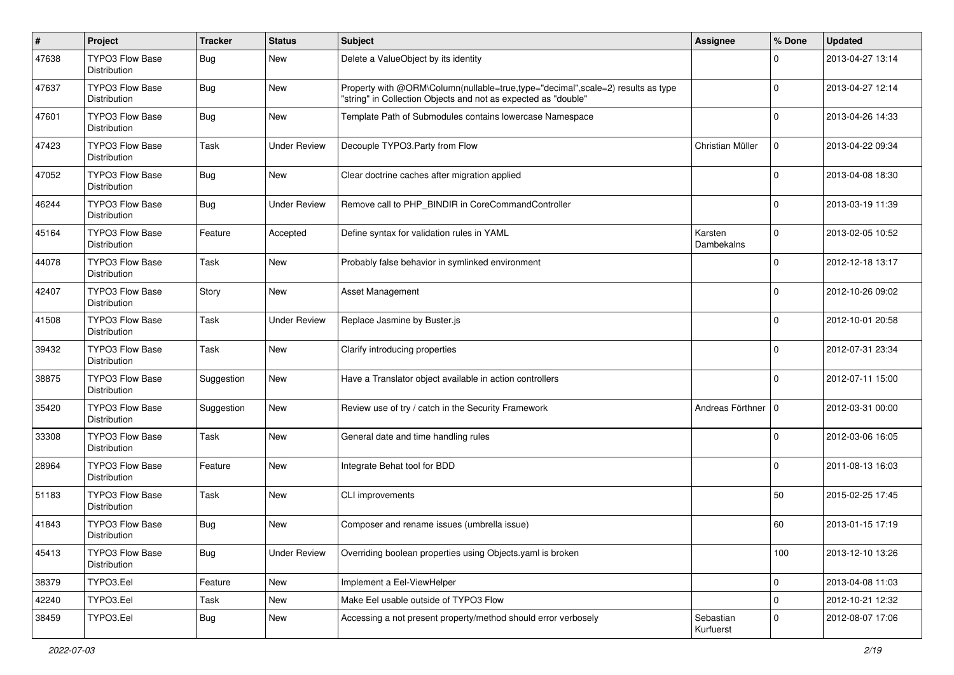| $\sharp$ | Project                                | <b>Tracker</b> | <b>Status</b>       | Subject                                                                                                                                           | Assignee               | % Done      | <b>Updated</b>   |
|----------|----------------------------------------|----------------|---------------------|---------------------------------------------------------------------------------------------------------------------------------------------------|------------------------|-------------|------------------|
| 47638    | TYPO3 Flow Base<br>Distribution        | <b>Bug</b>     | New                 | Delete a ValueObject by its identity                                                                                                              |                        | 0           | 2013-04-27 13:14 |
| 47637    | <b>TYPO3 Flow Base</b><br>Distribution | <b>Bug</b>     | <b>New</b>          | Property with @ORM\Column(nullable=true,type="decimal",scale=2) results as type<br>"string" in Collection Objects and not as expected as "double" |                        | 0           | 2013-04-27 12:14 |
| 47601    | <b>TYPO3 Flow Base</b><br>Distribution | <b>Bug</b>     | <b>New</b>          | Template Path of Submodules contains lowercase Namespace                                                                                          |                        | 0           | 2013-04-26 14:33 |
| 47423    | <b>TYPO3 Flow Base</b><br>Distribution | Task           | <b>Under Review</b> | Decouple TYPO3.Party from Flow                                                                                                                    | Christian Müller       | $\mathbf 0$ | 2013-04-22 09:34 |
| 47052    | TYPO3 Flow Base<br>Distribution        | <b>Bug</b>     | <b>New</b>          | Clear doctrine caches after migration applied                                                                                                     |                        | $\Omega$    | 2013-04-08 18:30 |
| 46244    | TYPO3 Flow Base<br>Distribution        | <b>Bug</b>     | <b>Under Review</b> | Remove call to PHP_BINDIR in CoreCommandController                                                                                                |                        | $\Omega$    | 2013-03-19 11:39 |
| 45164    | TYPO3 Flow Base<br>Distribution        | Feature        | Accepted            | Define syntax for validation rules in YAML                                                                                                        | Karsten<br>Dambekalns  | 0           | 2013-02-05 10:52 |
| 44078    | <b>TYPO3 Flow Base</b><br>Distribution | Task           | New                 | Probably false behavior in symlinked environment                                                                                                  |                        | O           | 2012-12-18 13:17 |
| 42407    | <b>TYPO3 Flow Base</b><br>Distribution | Story          | <b>New</b>          | <b>Asset Management</b>                                                                                                                           |                        | 0           | 2012-10-26 09:02 |
| 41508    | TYPO3 Flow Base<br>Distribution        | Task           | <b>Under Review</b> | Replace Jasmine by Buster.js                                                                                                                      |                        | 0           | 2012-10-01 20:58 |
| 39432    | <b>TYPO3 Flow Base</b><br>Distribution | Task           | <b>New</b>          | Clarify introducing properties                                                                                                                    |                        | $\Omega$    | 2012-07-31 23:34 |
| 38875    | <b>TYPO3 Flow Base</b><br>Distribution | Suggestion     | <b>New</b>          | Have a Translator object available in action controllers                                                                                          |                        | 0           | 2012-07-11 15:00 |
| 35420    | TYPO3 Flow Base<br>Distribution        | Suggestion     | <b>New</b>          | Review use of try / catch in the Security Framework                                                                                               | Andreas Förthner   0   |             | 2012-03-31 00:00 |
| 33308    | <b>TYPO3 Flow Base</b><br>Distribution | Task           | <b>New</b>          | General date and time handling rules                                                                                                              |                        | 0           | 2012-03-06 16:05 |
| 28964    | <b>TYPO3 Flow Base</b><br>Distribution | Feature        | New                 | Integrate Behat tool for BDD                                                                                                                      |                        | 0           | 2011-08-13 16:03 |
| 51183    | <b>TYPO3 Flow Base</b><br>Distribution | Task           | <b>New</b>          | CLI improvements                                                                                                                                  |                        | 50          | 2015-02-25 17:45 |
| 41843    | <b>TYPO3 Flow Base</b><br>Distribution | <b>Bug</b>     | <b>New</b>          | Composer and rename issues (umbrella issue)                                                                                                       |                        | 60          | 2013-01-15 17:19 |
| 45413    | <b>TYPO3 Flow Base</b><br>Distribution | <b>Bug</b>     | <b>Under Review</b> | Overriding boolean properties using Objects.yaml is broken                                                                                        |                        | 100         | 2013-12-10 13:26 |
| 38379    | TYPO3.Eel                              | Feature        | <b>New</b>          | Implement a Eel-ViewHelper                                                                                                                        |                        | 0           | 2013-04-08 11:03 |
| 42240    | TYPO3.Eel                              | Task           | New                 | Make Eel usable outside of TYPO3 Flow                                                                                                             |                        | 0           | 2012-10-21 12:32 |
| 38459    | TYPO3.Eel                              | <b>Bug</b>     | New                 | Accessing a not present property/method should error verbosely                                                                                    | Sebastian<br>Kurfuerst | 0           | 2012-08-07 17:06 |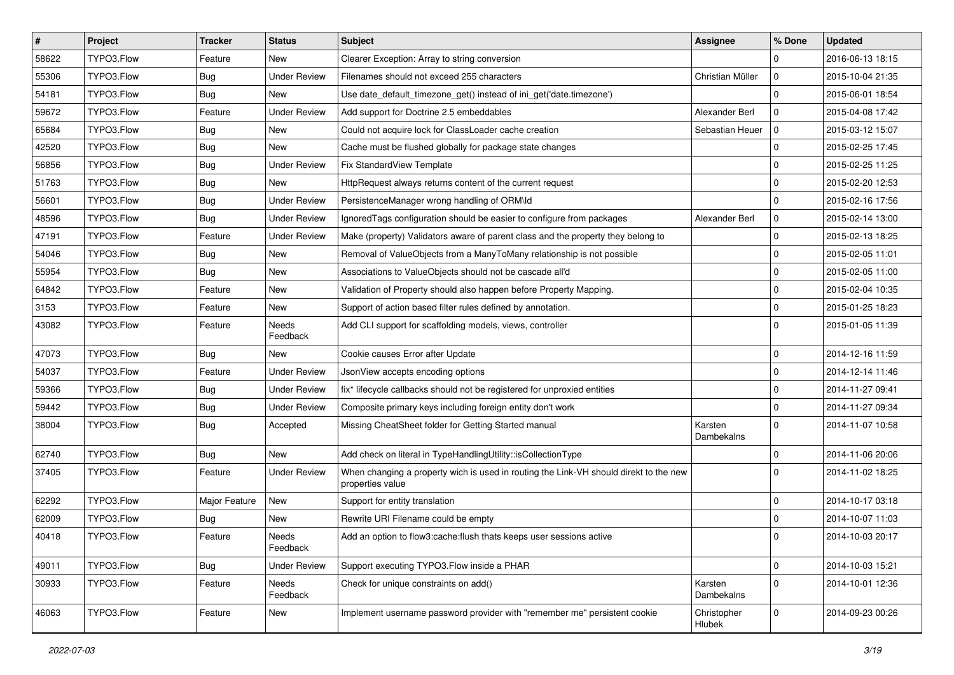| $\vert$ # | Project    | Tracker       | <b>Status</b>       | Subject                                                                                                   | <b>Assignee</b>       | % Done      | <b>Updated</b>   |
|-----------|------------|---------------|---------------------|-----------------------------------------------------------------------------------------------------------|-----------------------|-------------|------------------|
| 58622     | TYPO3.Flow | Feature       | New                 | Clearer Exception: Array to string conversion                                                             |                       | $\Omega$    | 2016-06-13 18:15 |
| 55306     | TYPO3.Flow | <b>Bug</b>    | <b>Under Review</b> | Filenames should not exceed 255 characters                                                                | Christian Müller      | $\mathbf 0$ | 2015-10-04 21:35 |
| 54181     | TYPO3.Flow | <b>Bug</b>    | New                 | Use date_default_timezone_get() instead of ini_get('date.timezone')                                       |                       | $\Omega$    | 2015-06-01 18:54 |
| 59672     | TYPO3.Flow | Feature       | <b>Under Review</b> | Add support for Doctrine 2.5 embeddables                                                                  | Alexander Berl        | $\mathbf 0$ | 2015-04-08 17:42 |
| 65684     | TYPO3.Flow | <b>Bug</b>    | New                 | Could not acquire lock for ClassLoader cache creation                                                     | Sebastian Heuer       | l O         | 2015-03-12 15:07 |
| 42520     | TYPO3.Flow | <b>Bug</b>    | New                 | Cache must be flushed globally for package state changes                                                  |                       | $\mathbf 0$ | 2015-02-25 17:45 |
| 56856     | TYPO3.Flow | <b>Bug</b>    | <b>Under Review</b> | Fix StandardView Template                                                                                 |                       | $\mathbf 0$ | 2015-02-25 11:25 |
| 51763     | TYPO3.Flow | <b>Bug</b>    | New                 | HttpRequest always returns content of the current request                                                 |                       | $\mathbf 0$ | 2015-02-20 12:53 |
| 56601     | TYPO3.Flow | <b>Bug</b>    | <b>Under Review</b> | PersistenceManager wrong handling of ORM\ld                                                               |                       | $\mathbf 0$ | 2015-02-16 17:56 |
| 48596     | TYPO3.Flow | <b>Bug</b>    | <b>Under Review</b> | Ignored Tags configuration should be easier to configure from packages                                    | Alexander Berl        | $\mathbf 0$ | 2015-02-14 13:00 |
| 47191     | TYPO3.Flow | Feature       | <b>Under Review</b> | Make (property) Validators aware of parent class and the property they belong to                          |                       | $\mathbf 0$ | 2015-02-13 18:25 |
| 54046     | TYPO3.Flow | Bug           | New                 | Removal of ValueObjects from a ManyToMany relationship is not possible                                    |                       | $\mathbf 0$ | 2015-02-05 11:01 |
| 55954     | TYPO3.Flow | <b>Bug</b>    | New                 | Associations to ValueObjects should not be cascade all'd                                                  |                       | $\mathbf 0$ | 2015-02-05 11:00 |
| 64842     | TYPO3.Flow | Feature       | New                 | Validation of Property should also happen before Property Mapping.                                        |                       | $\mathbf 0$ | 2015-02-04 10:35 |
| 3153      | TYPO3.Flow | Feature       | New                 | Support of action based filter rules defined by annotation.                                               |                       | $\mathbf 0$ | 2015-01-25 18:23 |
| 43082     | TYPO3.Flow | Feature       | Needs<br>Feedback   | Add CLI support for scaffolding models, views, controller                                                 |                       | $\Omega$    | 2015-01-05 11:39 |
| 47073     | TYPO3.Flow | <b>Bug</b>    | New                 | Cookie causes Error after Update                                                                          |                       | $\mathbf 0$ | 2014-12-16 11:59 |
| 54037     | TYPO3.Flow | Feature       | <b>Under Review</b> | JsonView accepts encoding options                                                                         |                       | $\mathbf 0$ | 2014-12-14 11:46 |
| 59366     | TYPO3.Flow | <b>Bug</b>    | <b>Under Review</b> | fix* lifecycle callbacks should not be registered for unproxied entities                                  |                       | $\mathbf 0$ | 2014-11-27 09:41 |
| 59442     | TYPO3.Flow | <b>Bug</b>    | <b>Under Review</b> | Composite primary keys including foreign entity don't work                                                |                       | $\mathbf 0$ | 2014-11-27 09:34 |
| 38004     | TYPO3.Flow | <b>Bug</b>    | Accepted            | Missing CheatSheet folder for Getting Started manual                                                      | Karsten<br>Dambekalns | $\Omega$    | 2014-11-07 10:58 |
| 62740     | TYPO3.Flow | <b>Bug</b>    | New                 | Add check on literal in TypeHandlingUtility::isCollectionType                                             |                       | $\mathbf 0$ | 2014-11-06 20:06 |
| 37405     | TYPO3.Flow | Feature       | <b>Under Review</b> | When changing a property wich is used in routing the Link-VH should direkt to the new<br>properties value |                       | $\Omega$    | 2014-11-02 18:25 |
| 62292     | TYPO3.Flow | Major Feature | New                 | Support for entity translation                                                                            |                       | $\mathbf 0$ | 2014-10-17 03:18 |
| 62009     | TYPO3.Flow | <b>Bug</b>    | New                 | Rewrite URI Filename could be empty                                                                       |                       | $\mathbf 0$ | 2014-10-07 11:03 |
| 40418     | TYPO3.Flow | Feature       | Needs<br>Feedback   | Add an option to flow3:cache: flush thats keeps user sessions active                                      |                       | $\Omega$    | 2014-10-03 20:17 |
| 49011     | TYPO3.Flow | <b>Bug</b>    | <b>Under Review</b> | Support executing TYPO3.Flow inside a PHAR                                                                |                       | $\mathsf 0$ | 2014-10-03 15:21 |
| 30933     | TYPO3.Flow | Feature       | Needs<br>Feedback   | Check for unique constraints on add()                                                                     | Karsten<br>Dambekalns | $\mathbf 0$ | 2014-10-01 12:36 |
| 46063     | TYPO3.Flow | Feature       | New                 | Implement username password provider with "remember me" persistent cookie                                 | Christopher<br>Hlubek | 0           | 2014-09-23 00:26 |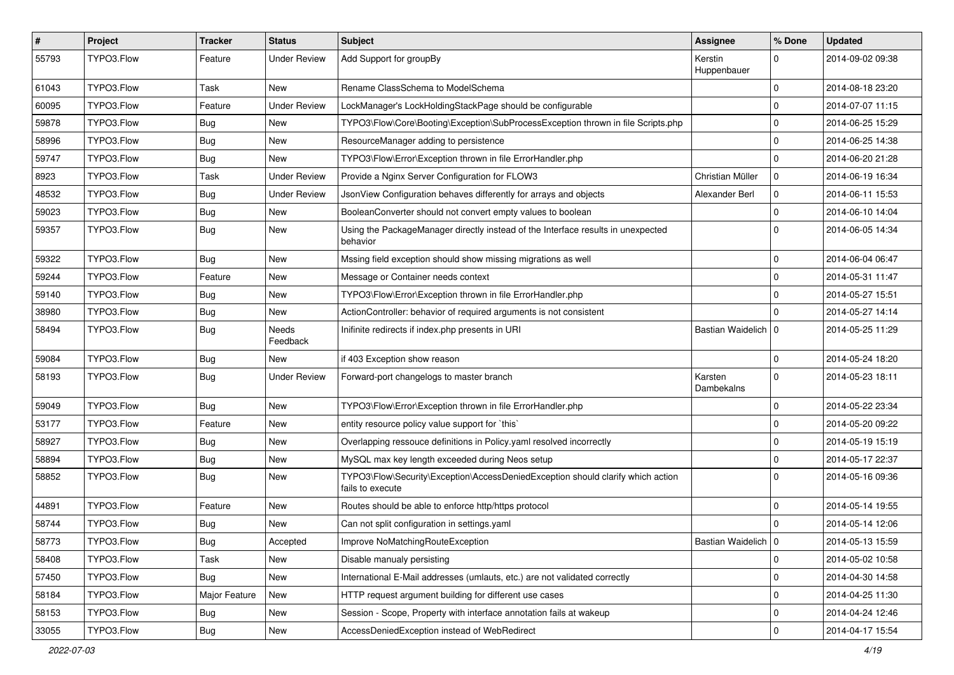| $\vert$ # | Project    | Tracker       | <b>Status</b>       | Subject                                                                                             | Assignee               | % Done         | <b>Updated</b>   |
|-----------|------------|---------------|---------------------|-----------------------------------------------------------------------------------------------------|------------------------|----------------|------------------|
| 55793     | TYPO3.Flow | Feature       | <b>Under Review</b> | Add Support for groupBy                                                                             | Kerstin<br>Huppenbauer | $\Omega$       | 2014-09-02 09:38 |
| 61043     | TYPO3.Flow | Task          | New                 | Rename ClassSchema to ModelSchema                                                                   |                        | $\Omega$       | 2014-08-18 23:20 |
| 60095     | TYPO3.Flow | Feature       | <b>Under Review</b> | LockManager's LockHoldingStackPage should be configurable                                           |                        | $\Omega$       | 2014-07-07 11:15 |
| 59878     | TYPO3.Flow | <b>Bug</b>    | New                 | TYPO3\Flow\Core\Booting\Exception\SubProcessException thrown in file Scripts.php                    |                        | $\Omega$       | 2014-06-25 15:29 |
| 58996     | TYPO3.Flow | <b>Bug</b>    | New                 | ResourceManager adding to persistence                                                               |                        | $\Omega$       | 2014-06-25 14:38 |
| 59747     | TYPO3.Flow | <b>Bug</b>    | New                 | TYPO3\Flow\Error\Exception thrown in file ErrorHandler.php                                          |                        | $\Omega$       | 2014-06-20 21:28 |
| 8923      | TYPO3.Flow | Task          | <b>Under Review</b> | Provide a Nginx Server Configuration for FLOW3                                                      | Christian Müller       | 0              | 2014-06-19 16:34 |
| 48532     | TYPO3.Flow | <b>Bug</b>    | <b>Under Review</b> | JsonView Configuration behaves differently for arrays and objects                                   | Alexander Berl         | $\Omega$       | 2014-06-11 15:53 |
| 59023     | TYPO3.Flow | <b>Bug</b>    | <b>New</b>          | BooleanConverter should not convert empty values to boolean                                         |                        | $\Omega$       | 2014-06-10 14:04 |
| 59357     | TYPO3.Flow | <b>Bug</b>    | New                 | Using the PackageManager directly instead of the Interface results in unexpected<br>behavior        |                        | $\Omega$       | 2014-06-05 14:34 |
| 59322     | TYPO3.Flow | <b>Bug</b>    | New                 | Mssing field exception should show missing migrations as well                                       |                        | $\Omega$       | 2014-06-04 06:47 |
| 59244     | TYPO3.Flow | Feature       | New                 | Message or Container needs context                                                                  |                        | $\Omega$       | 2014-05-31 11:47 |
| 59140     | TYPO3.Flow | <b>Bug</b>    | New                 | TYPO3\Flow\Error\Exception thrown in file ErrorHandler.php                                          |                        | $\Omega$       | 2014-05-27 15:51 |
| 38980     | TYPO3.Flow | <b>Bug</b>    | New                 | ActionController: behavior of required arguments is not consistent                                  |                        | ۱O.            | 2014-05-27 14:14 |
| 58494     | TYPO3.Flow | <b>Bug</b>    | Needs<br>Feedback   | Inifinite redirects if index.php presents in URI                                                    | Bastian Waidelich   0  |                | 2014-05-25 11:29 |
| 59084     | TYPO3.Flow | <b>Bug</b>    | New                 | if 403 Exception show reason                                                                        |                        | $\overline{0}$ | 2014-05-24 18:20 |
| 58193     | TYPO3.Flow | <b>Bug</b>    | <b>Under Review</b> | Forward-port changelogs to master branch                                                            | Karsten<br>Dambekalns  | $\Omega$       | 2014-05-23 18:11 |
| 59049     | TYPO3.Flow | <b>Bug</b>    | New                 | TYPO3\Flow\Error\Exception thrown in file ErrorHandler.php                                          |                        | $\Omega$       | 2014-05-22 23:34 |
| 53177     | TYPO3.Flow | Feature       | New                 | entity resource policy value support for `this`                                                     |                        | $\Omega$       | 2014-05-20 09:22 |
| 58927     | TYPO3.Flow | <b>Bug</b>    | New                 | Overlapping ressouce definitions in Policy yaml resolved incorrectly                                |                        | 0              | 2014-05-19 15:19 |
| 58894     | TYPO3.Flow | <b>Bug</b>    | New                 | MySQL max key length exceeded during Neos setup                                                     |                        | $\Omega$       | 2014-05-17 22:37 |
| 58852     | TYPO3.Flow | <b>Bug</b>    | New                 | TYPO3\Flow\Security\Exception\AccessDeniedException should clarify which action<br>fails to execute |                        | $\Omega$       | 2014-05-16 09:36 |
| 44891     | TYPO3.Flow | Feature       | New                 | Routes should be able to enforce http/https protocol                                                |                        | l 0            | 2014-05-14 19:55 |
| 58744     | TYPO3.Flow | <b>Bug</b>    | New                 | Can not split configuration in settings.yaml                                                        |                        | $\Omega$       | 2014-05-14 12:06 |
| 58773     | TYPO3.Flow | <b>Bug</b>    | Accepted            | Improve NoMatchingRouteException                                                                    | Bastian Waidelich 0    |                | 2014-05-13 15:59 |
| 58408     | TYPO3.Flow | Task          | New                 | Disable manualy persisting                                                                          |                        | 0              | 2014-05-02 10:58 |
| 57450     | TYPO3.Flow | Bug           | New                 | International E-Mail addresses (umlauts, etc.) are not validated correctly                          |                        | 0              | 2014-04-30 14:58 |
| 58184     | TYPO3.Flow | Major Feature | New                 | HTTP request argument building for different use cases                                              |                        | 0              | 2014-04-25 11:30 |
| 58153     | TYPO3.Flow | <b>Bug</b>    | New                 | Session - Scope, Property with interface annotation fails at wakeup                                 |                        | 0              | 2014-04-24 12:46 |
| 33055     | TYPO3.Flow | Bug           | New                 | AccessDeniedException instead of WebRedirect                                                        |                        | 0              | 2014-04-17 15:54 |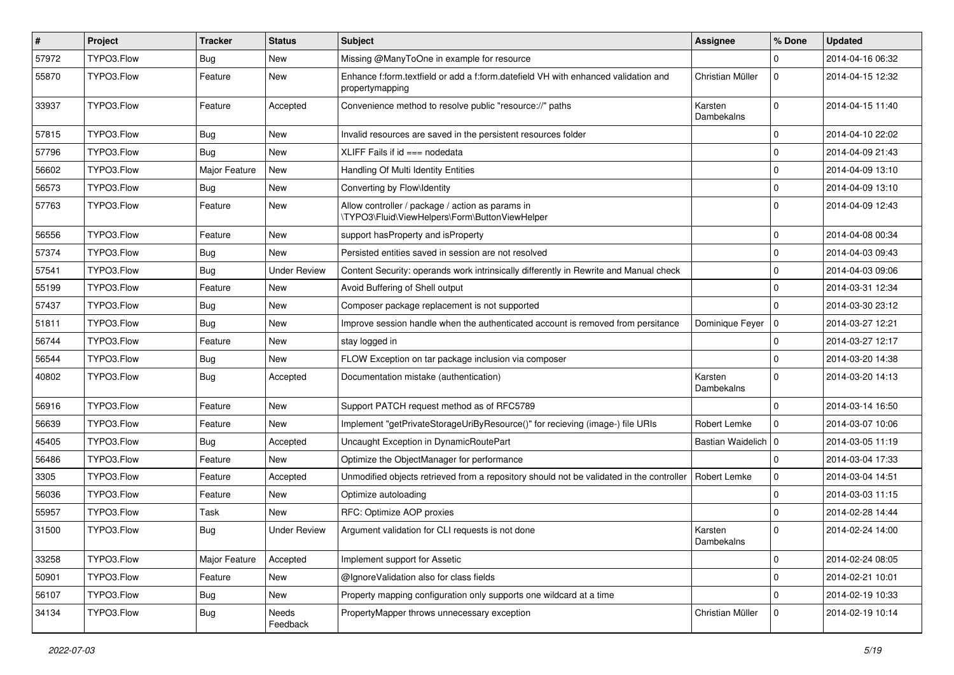| $\sharp$ | Project    | <b>Tracker</b> | <b>Status</b>       | Subject                                                                                               | Assignee              | % Done      | <b>Updated</b>   |
|----------|------------|----------------|---------------------|-------------------------------------------------------------------------------------------------------|-----------------------|-------------|------------------|
| 57972    | TYPO3.Flow | <b>Bug</b>     | New                 | Missing @ManyToOne in example for resource                                                            |                       | $\Omega$    | 2014-04-16 06:32 |
| 55870    | TYPO3.Flow | Feature        | New                 | Enhance f:form.textfield or add a f:form.datefield VH with enhanced validation and<br>propertymapping | Christian Müller      | 0           | 2014-04-15 12:32 |
| 33937    | TYPO3.Flow | Feature        | Accepted            | Convenience method to resolve public "resource://" paths                                              | Karsten<br>Dambekalns | $\Omega$    | 2014-04-15 11:40 |
| 57815    | TYPO3.Flow | Bug            | <b>New</b>          | Invalid resources are saved in the persistent resources folder                                        |                       | 0           | 2014-04-10 22:02 |
| 57796    | TYPO3.Flow | <b>Bug</b>     | New                 | XLIFF Fails if $id ==$ nodedata                                                                       |                       | 0           | 2014-04-09 21:43 |
| 56602    | TYPO3.Flow | Major Feature  | New                 | Handling Of Multi Identity Entities                                                                   |                       | 0           | 2014-04-09 13:10 |
| 56573    | TYPO3.Flow | <b>Bug</b>     | New                 | Converting by Flow\Identity                                                                           |                       | $\mathbf 0$ | 2014-04-09 13:10 |
| 57763    | TYPO3.Flow | Feature        | New                 | Allow controller / package / action as params in<br>\TYPO3\Fluid\ViewHelpers\Form\ButtonViewHelper    |                       | $\Omega$    | 2014-04-09 12:43 |
| 56556    | TYPO3.Flow | Feature        | New                 | support has Property and is Property                                                                  |                       | $\mathbf 0$ | 2014-04-08 00:34 |
| 57374    | TYPO3.Flow | <b>Bug</b>     | <b>New</b>          | Persisted entities saved in session are not resolved                                                  |                       | $\mathbf 0$ | 2014-04-03 09:43 |
| 57541    | TYPO3.Flow | <b>Bug</b>     | <b>Under Review</b> | Content Security: operands work intrinsically differently in Rewrite and Manual check                 |                       | $\mathbf 0$ | 2014-04-03 09:06 |
| 55199    | TYPO3.Flow | Feature        | New                 | Avoid Buffering of Shell output                                                                       |                       | 0           | 2014-03-31 12:34 |
| 57437    | TYPO3.Flow | <b>Bug</b>     | New                 | Composer package replacement is not supported                                                         |                       | 0           | 2014-03-30 23:12 |
| 51811    | TYPO3.Flow | <b>Bug</b>     | <b>New</b>          | Improve session handle when the authenticated account is removed from persitance                      | Dominique Feyer       | 0           | 2014-03-27 12:21 |
| 56744    | TYPO3.Flow | Feature        | New                 | stay logged in                                                                                        |                       | 0           | 2014-03-27 12:17 |
| 56544    | TYPO3.Flow | <b>Bug</b>     | New                 | FLOW Exception on tar package inclusion via composer                                                  |                       | 0           | 2014-03-20 14:38 |
| 40802    | TYPO3.Flow | <b>Bug</b>     | Accepted            | Documentation mistake (authentication)                                                                | Karsten<br>Dambekalns | $\Omega$    | 2014-03-20 14:13 |
| 56916    | TYPO3.Flow | Feature        | <b>New</b>          | Support PATCH request method as of RFC5789                                                            |                       | $\Omega$    | 2014-03-14 16:50 |
| 56639    | TYPO3.Flow | Feature        | <b>New</b>          | Implement "getPrivateStorageUriByResource()" for recieving (image-) file URIs                         | Robert Lemke          | $\mathbf 0$ | 2014-03-07 10:06 |
| 45405    | TYPO3.Flow | <b>Bug</b>     | Accepted            | Uncaught Exception in DynamicRoutePart                                                                | Bastian Waidelich   0 |             | 2014-03-05 11:19 |
| 56486    | TYPO3.Flow | Feature        | <b>New</b>          | Optimize the ObjectManager for performance                                                            |                       | $\mathbf 0$ | 2014-03-04 17:33 |
| 3305     | TYPO3.Flow | Feature        | Accepted            | Unmodified objects retrieved from a repository should not be validated in the controller              | Robert Lemke          | 0           | 2014-03-04 14:51 |
| 56036    | TYPO3.Flow | Feature        | New                 | Optimize autoloading                                                                                  |                       | $\mathbf 0$ | 2014-03-03 11:15 |
| 55957    | TYPO3.Flow | Task           | <b>New</b>          | RFC: Optimize AOP proxies                                                                             |                       | $\mathbf 0$ | 2014-02-28 14:44 |
| 31500    | TYPO3.Flow | <b>Bug</b>     | <b>Under Review</b> | Argument validation for CLI requests is not done                                                      | Karsten<br>Dambekalns | 0           | 2014-02-24 14:00 |
| 33258    | TYPO3.Flow | Major Feature  | Accepted            | Implement support for Assetic                                                                         |                       | 0           | 2014-02-24 08:05 |
| 50901    | TYPO3.Flow | Feature        | New                 | @IgnoreValidation also for class fields                                                               |                       | 0           | 2014-02-21 10:01 |
| 56107    | TYPO3.Flow | <b>Bug</b>     | New                 | Property mapping configuration only supports one wildcard at a time                                   |                       | 0           | 2014-02-19 10:33 |
| 34134    | TYPO3.Flow | Bug            | Needs<br>Feedback   | PropertyMapper throws unnecessary exception                                                           | Christian Müller      | $\mathbf 0$ | 2014-02-19 10:14 |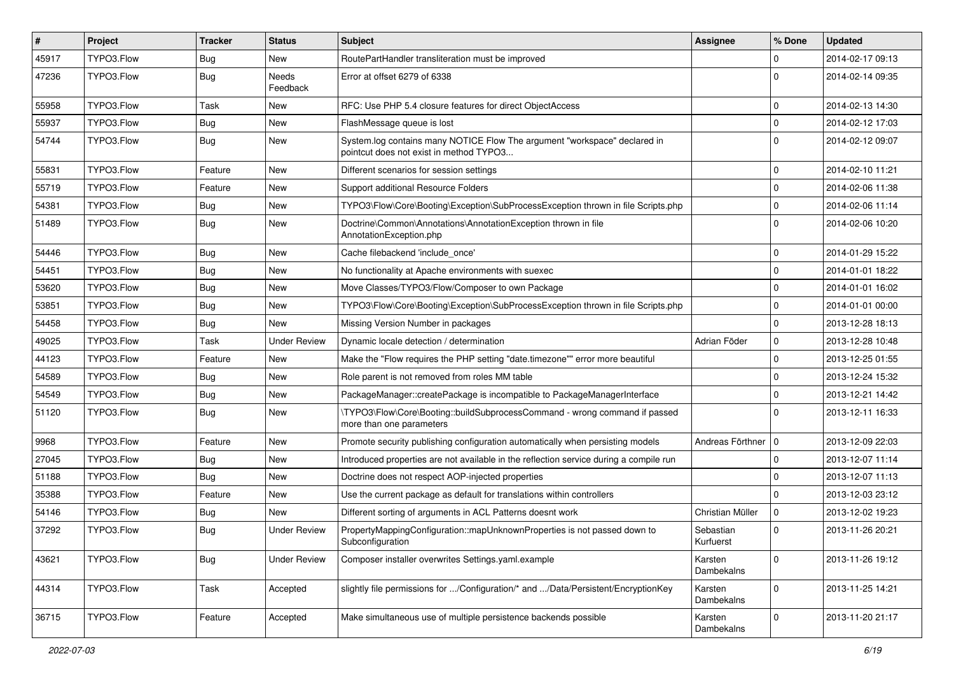| $\vert$ # | <b>Project</b> | Tracker    | <b>Status</b>       | <b>Subject</b>                                                                                                       | <b>Assignee</b>        | % Done      | <b>Updated</b>   |
|-----------|----------------|------------|---------------------|----------------------------------------------------------------------------------------------------------------------|------------------------|-------------|------------------|
| 45917     | TYPO3.Flow     | <b>Bug</b> | New                 | RoutePartHandler transliteration must be improved                                                                    |                        | 0           | 2014-02-17 09:13 |
| 47236     | TYPO3.Flow     | <b>Bug</b> | Needs<br>Feedback   | Error at offset 6279 of 6338                                                                                         |                        | $\Omega$    | 2014-02-14 09:35 |
| 55958     | TYPO3.Flow     | Task       | New                 | RFC: Use PHP 5.4 closure features for direct ObjectAccess                                                            |                        | $\mathbf 0$ | 2014-02-13 14:30 |
| 55937     | TYPO3.Flow     | <b>Bug</b> | New                 | FlashMessage queue is lost                                                                                           |                        | $\mathbf 0$ | 2014-02-12 17:03 |
| 54744     | TYPO3.Flow     | <b>Bug</b> | New                 | System.log contains many NOTICE Flow The argument "workspace" declared in<br>pointcut does not exist in method TYPO3 |                        | $\Omega$    | 2014-02-12 09:07 |
| 55831     | TYPO3.Flow     | Feature    | New                 | Different scenarios for session settings                                                                             |                        | $\mathbf 0$ | 2014-02-10 11:21 |
| 55719     | TYPO3.Flow     | Feature    | New                 | Support additional Resource Folders                                                                                  |                        | $\mathbf 0$ | 2014-02-06 11:38 |
| 54381     | TYPO3.Flow     | <b>Bug</b> | New                 | TYPO3\Flow\Core\Booting\Exception\SubProcessException thrown in file Scripts.php                                     |                        | 0           | 2014-02-06 11:14 |
| 51489     | TYPO3.Flow     | Bug        | New                 | Doctrine\Common\Annotations\AnnotationException thrown in file<br>AnnotationException.php                            |                        | $\Omega$    | 2014-02-06 10:20 |
| 54446     | TYPO3.Flow     | Bug        | <b>New</b>          | Cache filebackend 'include_once'                                                                                     |                        | $\mathbf 0$ | 2014-01-29 15:22 |
| 54451     | TYPO3.Flow     | <b>Bug</b> | New                 | No functionality at Apache environments with suexec                                                                  |                        | $\mathbf 0$ | 2014-01-01 18:22 |
| 53620     | TYPO3.Flow     | <b>Bug</b> | New                 | Move Classes/TYPO3/Flow/Composer to own Package                                                                      |                        | 0           | 2014-01-01 16:02 |
| 53851     | TYPO3.Flow     | Bug        | New                 | TYPO3\Flow\Core\Booting\Exception\SubProcessException thrown in file Scripts.php                                     |                        | $\mathbf 0$ | 2014-01-01 00:00 |
| 54458     | TYPO3.Flow     | <b>Bug</b> | New                 | Missing Version Number in packages                                                                                   |                        | 0           | 2013-12-28 18:13 |
| 49025     | TYPO3.Flow     | Task       | <b>Under Review</b> | Dynamic locale detection / determination                                                                             | Adrian Föder           | 0           | 2013-12-28 10:48 |
| 44123     | TYPO3.Flow     | Feature    | New                 | Make the "Flow requires the PHP setting "date.timezone"" error more beautiful                                        |                        | 0           | 2013-12-25 01:55 |
| 54589     | TYPO3.Flow     | <b>Bug</b> | New                 | Role parent is not removed from roles MM table                                                                       |                        | $\mathbf 0$ | 2013-12-24 15:32 |
| 54549     | TYPO3.Flow     | Bug        | New                 | PackageManager::createPackage is incompatible to PackageManagerInterface                                             |                        | 0           | 2013-12-21 14:42 |
| 51120     | TYPO3.Flow     | <b>Bug</b> | New                 | \TYPO3\Flow\Core\Booting::buildSubprocessCommand - wrong command if passed<br>more than one parameters               |                        | $\Omega$    | 2013-12-11 16:33 |
| 9968      | TYPO3.Flow     | Feature    | New                 | Promote security publishing configuration automatically when persisting models                                       | Andreas Förthner   0   |             | 2013-12-09 22:03 |
| 27045     | TYPO3.Flow     | <b>Bug</b> | New                 | Introduced properties are not available in the reflection service during a compile run                               |                        | $\mathbf 0$ | 2013-12-07 11:14 |
| 51188     | TYPO3.Flow     | <b>Bug</b> | New                 | Doctrine does not respect AOP-injected properties                                                                    |                        | $\Omega$    | 2013-12-07 11:13 |
| 35388     | TYPO3.Flow     | Feature    | New                 | Use the current package as default for translations within controllers                                               |                        | $\mathbf 0$ | 2013-12-03 23:12 |
| 54146     | TYPO3.Flow     | <b>Bug</b> | New                 | Different sorting of arguments in ACL Patterns doesnt work                                                           | Christian Müller       | $\mathbf 0$ | 2013-12-02 19:23 |
| 37292     | TYPO3.Flow     | <b>Bug</b> | <b>Under Review</b> | PropertyMappingConfiguration::mapUnknownProperties is not passed down to<br>Subconfiguration                         | Sebastian<br>Kurtuerst | 0           | 2013-11-26 20:21 |
| 43621     | TYPO3.Flow     | <b>Bug</b> | <b>Under Review</b> | Composer installer overwrites Settings.yaml.example                                                                  | Karsten<br>Dambekalns  | $\mathbf 0$ | 2013-11-26 19:12 |
| 44314     | TYPO3.Flow     | Task       | Accepted            | slightly file permissions for /Configuration/* and /Data/Persistent/EncryptionKey                                    | Karsten<br>Dambekalns  | $\mathbf 0$ | 2013-11-25 14:21 |
| 36715     | TYPO3.Flow     | Feature    | Accepted            | Make simultaneous use of multiple persistence backends possible                                                      | Karsten<br>Dambekalns  | 0           | 2013-11-20 21:17 |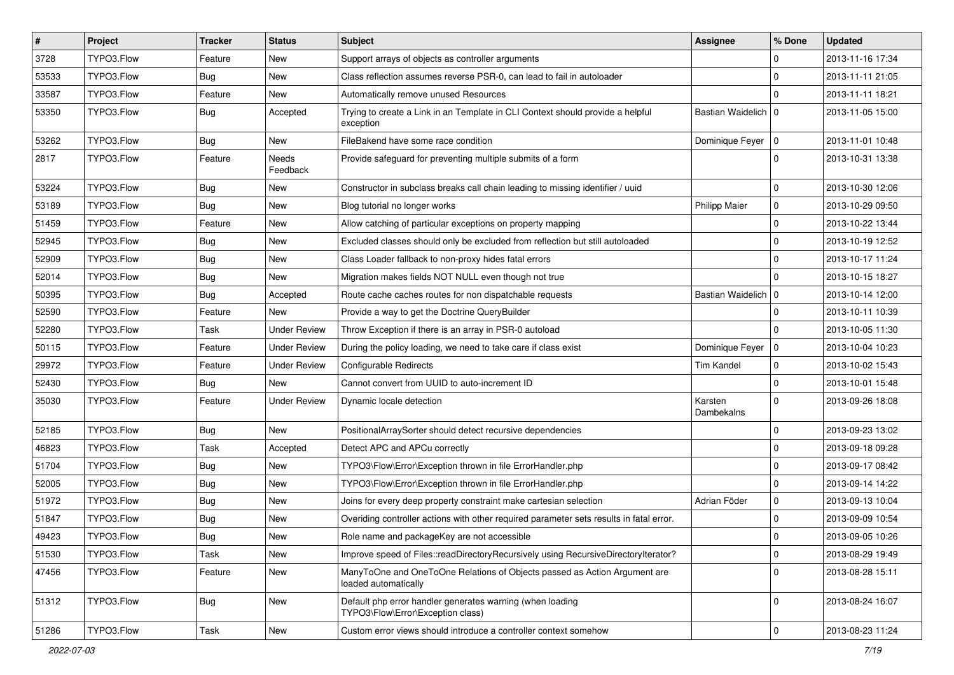| #     | Project    | <b>Tracker</b>   | <b>Status</b>            | Subject                                                                                           | <b>Assignee</b>       | % Done      | <b>Updated</b>   |
|-------|------------|------------------|--------------------------|---------------------------------------------------------------------------------------------------|-----------------------|-------------|------------------|
| 3728  | TYPO3.Flow | Feature          | <b>New</b>               | Support arrays of objects as controller arguments                                                 |                       | 0           | 2013-11-16 17:34 |
| 53533 | TYPO3.Flow | <b>Bug</b>       | <b>New</b>               | Class reflection assumes reverse PSR-0, can lead to fail in autoloader                            |                       | $\mathbf 0$ | 2013-11-11 21:05 |
| 33587 | TYPO3.Flow | Feature          | New                      | Automatically remove unused Resources                                                             |                       | $\Omega$    | 2013-11-11 18:21 |
| 53350 | TYPO3.Flow | Bug              | Accepted                 | Trying to create a Link in an Template in CLI Context should provide a helpful<br>exception       | Bastian Waidelich   0 |             | 2013-11-05 15:00 |
| 53262 | TYPO3.Flow | <b>Bug</b>       | <b>New</b>               | FileBakend have some race condition                                                               | Dominique Feyer 0     |             | 2013-11-01 10:48 |
| 2817  | TYPO3.Flow | Feature          | <b>Needs</b><br>Feedback | Provide safeguard for preventing multiple submits of a form                                       |                       | $\Omega$    | 2013-10-31 13:38 |
| 53224 | TYPO3.Flow | Bug              | <b>New</b>               | Constructor in subclass breaks call chain leading to missing identifier / uuid                    |                       | $\Omega$    | 2013-10-30 12:06 |
| 53189 | TYPO3.Flow | <b>Bug</b>       | <b>New</b>               | Blog tutorial no longer works                                                                     | <b>Philipp Maier</b>  | $\mathbf 0$ | 2013-10-29 09:50 |
| 51459 | TYPO3.Flow | Feature          | New                      | Allow catching of particular exceptions on property mapping                                       |                       | $\mathbf 0$ | 2013-10-22 13:44 |
| 52945 | TYPO3.Flow | <b>Bug</b>       | New                      | Excluded classes should only be excluded from reflection but still autoloaded                     |                       | $\mathbf 0$ | 2013-10-19 12:52 |
| 52909 | TYPO3.Flow | Bug              | <b>New</b>               | Class Loader fallback to non-proxy hides fatal errors                                             |                       | $\Omega$    | 2013-10-17 11:24 |
| 52014 | TYPO3.Flow | Bug              | New                      | Migration makes fields NOT NULL even though not true                                              |                       | $\Omega$    | 2013-10-15 18:27 |
| 50395 | TYPO3.Flow | Bug              | Accepted                 | Route cache caches routes for non dispatchable requests                                           | Bastian Waidelich   0 |             | 2013-10-14 12:00 |
| 52590 | TYPO3.Flow | Feature          | New                      | Provide a way to get the Doctrine QueryBuilder                                                    |                       | $\Omega$    | 2013-10-11 10:39 |
| 52280 | TYPO3.Flow | Task             | <b>Under Review</b>      | Throw Exception if there is an array in PSR-0 autoload                                            |                       | $\Omega$    | 2013-10-05 11:30 |
| 50115 | TYPO3.Flow | Feature          | <b>Under Review</b>      | During the policy loading, we need to take care if class exist                                    | Dominique Feyer   0   |             | 2013-10-04 10:23 |
| 29972 | TYPO3.Flow | Feature          | <b>Under Review</b>      | Configurable Redirects                                                                            | <b>Tim Kandel</b>     | $\mathbf 0$ | 2013-10-02 15:43 |
| 52430 | TYPO3.Flow | Bug              | New                      | Cannot convert from UUID to auto-increment ID                                                     |                       | $\mathbf 0$ | 2013-10-01 15:48 |
| 35030 | TYPO3.Flow | Feature          | <b>Under Review</b>      | Dynamic locale detection                                                                          | Karsten<br>Dambekalns | $\Omega$    | 2013-09-26 18:08 |
| 52185 | TYPO3.Flow | <b>Bug</b>       | <b>New</b>               | PositionalArraySorter should detect recursive dependencies                                        |                       | $\mathbf 0$ | 2013-09-23 13:02 |
| 46823 | TYPO3.Flow | Task             | Accepted                 | Detect APC and APCu correctly                                                                     |                       | 0           | 2013-09-18 09:28 |
| 51704 | TYPO3.Flow | <b>Bug</b>       | <b>New</b>               | TYPO3\Flow\Error\Exception thrown in file ErrorHandler.php                                        |                       | $\mathbf 0$ | 2013-09-17 08:42 |
| 52005 | TYPO3.Flow | <b>Bug</b>       | <b>New</b>               | TYPO3\Flow\Error\Exception thrown in file ErrorHandler.php                                        |                       | 0           | 2013-09-14 14:22 |
| 51972 | TYPO3.Flow | <b>Bug</b>       | New                      | Joins for every deep property constraint make cartesian selection                                 | Adrian Föder          | $\mathbf 0$ | 2013-09-13 10:04 |
| 51847 | TYPO3.Flow | <b>Bug</b>       | New                      | Overiding controller actions with other required parameter sets results in fatal error.           |                       | $\mathbf 0$ | 2013-09-09 10:54 |
| 49423 | TYPO3.Flow | <sub>I</sub> Bug | New                      | Role name and packageKey are not accessible                                                       |                       | 0           | 2013-09-05 10:26 |
| 51530 | TYPO3.Flow | Task             | New                      | Improve speed of Files::readDirectoryRecursively using RecursiveDirectoryIterator?                |                       | $\mathbf 0$ | 2013-08-29 19:49 |
| 47456 | TYPO3.Flow | Feature          | New                      | ManyToOne and OneToOne Relations of Objects passed as Action Argument are<br>loaded automatically |                       | $\mathbf 0$ | 2013-08-28 15:11 |
| 51312 | TYPO3.Flow | <b>Bug</b>       | New                      | Default php error handler generates warning (when loading<br>TYPO3\Flow\Error\Exception class)    |                       | $\mathbf 0$ | 2013-08-24 16:07 |
| 51286 | TYPO3.Flow | Task             | New                      | Custom error views should introduce a controller context somehow                                  |                       | $\mathbf 0$ | 2013-08-23 11:24 |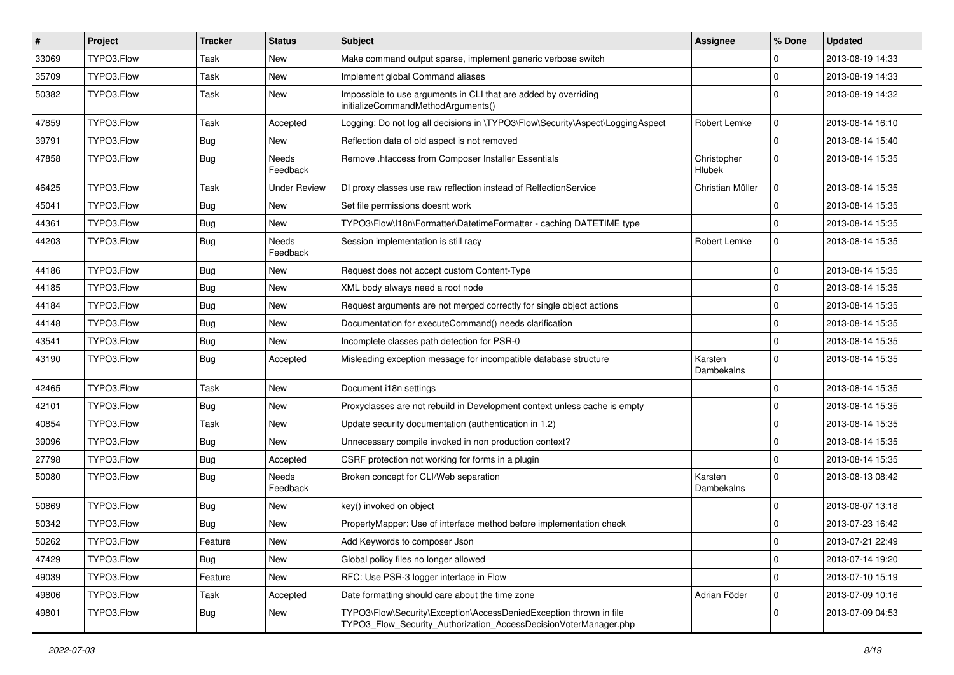| #     | Project    | <b>Tracker</b> | <b>Status</b>            | Subject                                                                                                                                | <b>Assignee</b>              | % Done      | <b>Updated</b>   |
|-------|------------|----------------|--------------------------|----------------------------------------------------------------------------------------------------------------------------------------|------------------------------|-------------|------------------|
| 33069 | TYPO3.Flow | Task           | <b>New</b>               | Make command output sparse, implement generic verbose switch                                                                           |                              | $\Omega$    | 2013-08-19 14:33 |
| 35709 | TYPO3.Flow | Task           | <b>New</b>               | Implement global Command aliases                                                                                                       |                              | 0           | 2013-08-19 14:33 |
| 50382 | TYPO3.Flow | Task           | <b>New</b>               | Impossible to use arguments in CLI that are added by overriding<br>initializeCommandMethodArguments()                                  |                              | $\Omega$    | 2013-08-19 14:32 |
| 47859 | TYPO3.Flow | Task           | Accepted                 | Logging: Do not log all decisions in \TYPO3\Flow\Security\Aspect\LoggingAspect                                                         | Robert Lemke                 | $\mathbf 0$ | 2013-08-14 16:10 |
| 39791 | TYPO3.Flow | <b>Bug</b>     | New                      | Reflection data of old aspect is not removed                                                                                           |                              | $\mathbf 0$ | 2013-08-14 15:40 |
| 47858 | TYPO3.Flow | <b>Bug</b>     | <b>Needs</b><br>Feedback | Remove .htaccess from Composer Installer Essentials                                                                                    | Christopher<br><b>Hlubek</b> | $\Omega$    | 2013-08-14 15:35 |
| 46425 | TYPO3.Flow | Task           | <b>Under Review</b>      | DI proxy classes use raw reflection instead of RelfectionService                                                                       | Christian Müller             | $\mathbf 0$ | 2013-08-14 15:35 |
| 45041 | TYPO3.Flow | <b>Bug</b>     | New                      | Set file permissions doesnt work                                                                                                       |                              | $\Omega$    | 2013-08-14 15:35 |
| 44361 | TYPO3.Flow | Bug            | New                      | TYPO3\Flow\I18n\Formatter\DatetimeFormatter - caching DATETIME type                                                                    |                              | $\mathbf 0$ | 2013-08-14 15:35 |
| 44203 | TYPO3.Flow | <b>Bug</b>     | Needs<br>Feedback        | Session implementation is still racy                                                                                                   | Robert Lemke                 | $\mathbf 0$ | 2013-08-14 15:35 |
| 44186 | TYPO3.Flow | <b>Bug</b>     | <b>New</b>               | Request does not accept custom Content-Type                                                                                            |                              | $\Omega$    | 2013-08-14 15:35 |
| 44185 | TYPO3.Flow | <b>Bug</b>     | <b>New</b>               | XML body always need a root node                                                                                                       |                              | $\mathbf 0$ | 2013-08-14 15:35 |
| 44184 | TYPO3.Flow | Bug            | New                      | Request arguments are not merged correctly for single object actions                                                                   |                              | 0           | 2013-08-14 15:35 |
| 44148 | TYPO3.Flow | <b>Bug</b>     | <b>New</b>               | Documentation for executeCommand() needs clarification                                                                                 |                              | $\mathbf 0$ | 2013-08-14 15:35 |
| 43541 | TYPO3.Flow | Bug            | <b>New</b>               | Incomplete classes path detection for PSR-0                                                                                            |                              | $\Omega$    | 2013-08-14 15:35 |
| 43190 | TYPO3.Flow | <b>Bug</b>     | Accepted                 | Misleading exception message for incompatible database structure                                                                       | Karsten<br>Dambekalns        | $\Omega$    | 2013-08-14 15:35 |
| 42465 | TYPO3.Flow | Task           | <b>New</b>               | Document i18n settings                                                                                                                 |                              | $\mathbf 0$ | 2013-08-14 15:35 |
| 42101 | TYPO3.Flow | <b>Bug</b>     | <b>New</b>               | Proxyclasses are not rebuild in Development context unless cache is empty                                                              |                              | $\mathbf 0$ | 2013-08-14 15:35 |
| 40854 | TYPO3.Flow | Task           | <b>New</b>               | Update security documentation (authentication in 1.2)                                                                                  |                              | $\Omega$    | 2013-08-14 15:35 |
| 39096 | TYPO3.Flow | <b>Bug</b>     | New                      | Unnecessary compile invoked in non production context?                                                                                 |                              | $\mathbf 0$ | 2013-08-14 15:35 |
| 27798 | TYPO3.Flow | <b>Bug</b>     | Accepted                 | CSRF protection not working for forms in a plugin                                                                                      |                              | $\mathbf 0$ | 2013-08-14 15:35 |
| 50080 | TYPO3.Flow | <b>Bug</b>     | <b>Needs</b><br>Feedback | Broken concept for CLI/Web separation                                                                                                  | Karsten<br>Dambekalns        | $\Omega$    | 2013-08-13 08:42 |
| 50869 | TYPO3.Flow | <b>Bug</b>     | <b>New</b>               | key() invoked on object                                                                                                                |                              | $\Omega$    | 2013-08-07 13:18 |
| 50342 | TYPO3.Flow | <b>Bug</b>     | <b>New</b>               | PropertyMapper: Use of interface method before implementation check                                                                    |                              | $\mathbf 0$ | 2013-07-23 16:42 |
| 50262 | TYPO3.Flow | I Feature      | New                      | Add Keywords to composer Json                                                                                                          |                              | 0           | 2013-07-21 22:49 |
| 47429 | TYPO3.Flow | <b>Bug</b>     | New                      | Global policy files no longer allowed                                                                                                  |                              | $\mathbf 0$ | 2013-07-14 19:20 |
| 49039 | TYPO3.Flow | Feature        | New                      | RFC: Use PSR-3 logger interface in Flow                                                                                                |                              | $\mathbf 0$ | 2013-07-10 15:19 |
| 49806 | TYPO3.Flow | Task           | Accepted                 | Date formatting should care about the time zone                                                                                        | Adrian Föder                 | $\mathbf 0$ | 2013-07-09 10:16 |
| 49801 | TYPO3.Flow | Bug            | New                      | TYPO3\Flow\Security\Exception\AccessDeniedException thrown in file<br>TYPO3 Flow Security Authorization AccessDecisionVoterManager.php |                              | 0           | 2013-07-09 04:53 |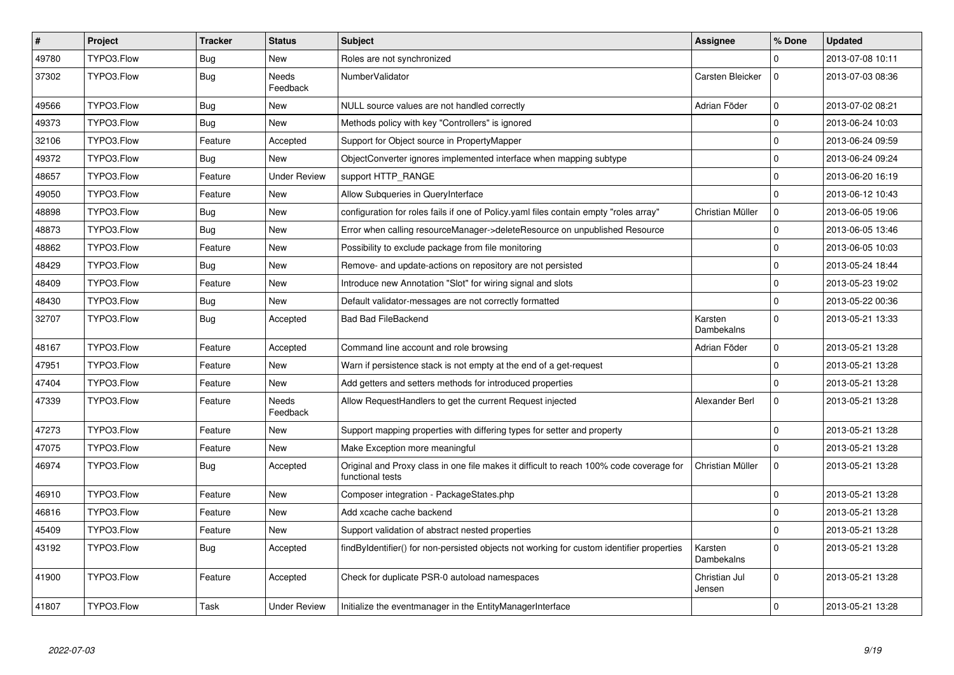| $\sharp$ | Project    | <b>Tracker</b> | <b>Status</b>            | <b>Subject</b>                                                                                              | Assignee                     | % Done         | <b>Updated</b>   |
|----------|------------|----------------|--------------------------|-------------------------------------------------------------------------------------------------------------|------------------------------|----------------|------------------|
| 49780    | TYPO3.Flow | Bug            | <b>New</b>               | Roles are not synchronized                                                                                  |                              | $\Omega$       | 2013-07-08 10:11 |
| 37302    | TYPO3.Flow | <b>Bug</b>     | <b>Needs</b><br>Feedback | NumberValidator                                                                                             | Carsten Bleicker             | $\Omega$       | 2013-07-03 08:36 |
| 49566    | TYPO3.Flow | <b>Bug</b>     | <b>New</b>               | NULL source values are not handled correctly                                                                | Adrian Föder                 | $\mathbf 0$    | 2013-07-02 08:21 |
| 49373    | TYPO3.Flow | Bug            | <b>New</b>               | Methods policy with key "Controllers" is ignored                                                            |                              | $\overline{0}$ | 2013-06-24 10:03 |
| 32106    | TYPO3.Flow | Feature        | Accepted                 | Support for Object source in PropertyMapper                                                                 |                              | $\overline{0}$ | 2013-06-24 09:59 |
| 49372    | TYPO3.Flow | Bug            | New                      | ObjectConverter ignores implemented interface when mapping subtype                                          |                              | 0              | 2013-06-24 09:24 |
| 48657    | TYPO3.Flow | Feature        | <b>Under Review</b>      | support HTTP_RANGE                                                                                          |                              | $\Omega$       | 2013-06-20 16:19 |
| 49050    | TYPO3.Flow | Feature        | <b>New</b>               | Allow Subqueries in QueryInterface                                                                          |                              | $\Omega$       | 2013-06-12 10:43 |
| 48898    | TYPO3.Flow | Bug            | New                      | configuration for roles fails if one of Policy yaml files contain empty "roles array"                       | Christian Müller             | $\mathbf 0$    | 2013-06-05 19:06 |
| 48873    | TYPO3.Flow | Bug            | New                      | Error when calling resourceManager->deleteResource on unpublished Resource                                  |                              | $\Omega$       | 2013-06-05 13:46 |
| 48862    | TYPO3.Flow | Feature        | New                      | Possibility to exclude package from file monitoring                                                         |                              | $\overline{0}$ | 2013-06-05 10:03 |
| 48429    | TYPO3.Flow | <b>Bug</b>     | New                      | Remove- and update-actions on repository are not persisted                                                  |                              | $\Omega$       | 2013-05-24 18:44 |
| 48409    | TYPO3.Flow | Feature        | New                      | Introduce new Annotation "Slot" for wiring signal and slots                                                 |                              | 0              | 2013-05-23 19:02 |
| 48430    | TYPO3.Flow | <b>Bug</b>     | <b>New</b>               | Default validator-messages are not correctly formatted                                                      |                              | $\Omega$       | 2013-05-22 00:36 |
| 32707    | TYPO3.Flow | <b>Bug</b>     | Accepted                 | <b>Bad Bad FileBackend</b>                                                                                  | Karsten<br>Dambekalns        | $\Omega$       | 2013-05-21 13:33 |
| 48167    | TYPO3.Flow | Feature        | Accepted                 | Command line account and role browsing                                                                      | Adrian Föder                 | $\mathbf 0$    | 2013-05-21 13:28 |
| 47951    | TYPO3.Flow | Feature        | <b>New</b>               | Warn if persistence stack is not empty at the end of a get-request                                          |                              | $\overline{0}$ | 2013-05-21 13:28 |
| 47404    | TYPO3.Flow | Feature        | <b>New</b>               | Add getters and setters methods for introduced properties                                                   |                              | $\Omega$       | 2013-05-21 13:28 |
| 47339    | TYPO3.Flow | Feature        | Needs<br>Feedback        | Allow RequestHandlers to get the current Request injected                                                   | Alexander Berl               | $\overline{0}$ | 2013-05-21 13:28 |
| 47273    | TYPO3.Flow | Feature        | <b>New</b>               | Support mapping properties with differing types for setter and property                                     |                              | $\Omega$       | 2013-05-21 13:28 |
| 47075    | TYPO3.Flow | Feature        | <b>New</b>               | Make Exception more meaningful                                                                              |                              | $\overline{0}$ | 2013-05-21 13:28 |
| 46974    | TYPO3.Flow | Bug            | Accepted                 | Original and Proxy class in one file makes it difficult to reach 100% code coverage for<br>functional tests | Christian Müller             | $\Omega$       | 2013-05-21 13:28 |
| 46910    | TYPO3.Flow | Feature        | <b>New</b>               | Composer integration - PackageStates.php                                                                    |                              | $\overline{0}$ | 2013-05-21 13:28 |
| 46816    | TYPO3.Flow | Feature        | <b>New</b>               | Add xcache cache backend                                                                                    |                              | $\overline{0}$ | 2013-05-21 13:28 |
| 45409    | TYPO3.Flow | Feature        | New                      | Support validation of abstract nested properties                                                            |                              | $\overline{0}$ | 2013-05-21 13:28 |
| 43192    | TYPO3.Flow | Bug            | Accepted                 | findByIdentifier() for non-persisted objects not working for custom identifier properties                   | Karsten<br><b>Dambekalns</b> | $\Omega$       | 2013-05-21 13:28 |
| 41900    | TYPO3.Flow | Feature        | Accepted                 | Check for duplicate PSR-0 autoload namespaces                                                               | Christian Jul<br>Jensen      | $\Omega$       | 2013-05-21 13:28 |
| 41807    | TYPO3.Flow | Task           | <b>Under Review</b>      | Initialize the eventmanager in the EntityManagerInterface                                                   |                              | $\Omega$       | 2013-05-21 13:28 |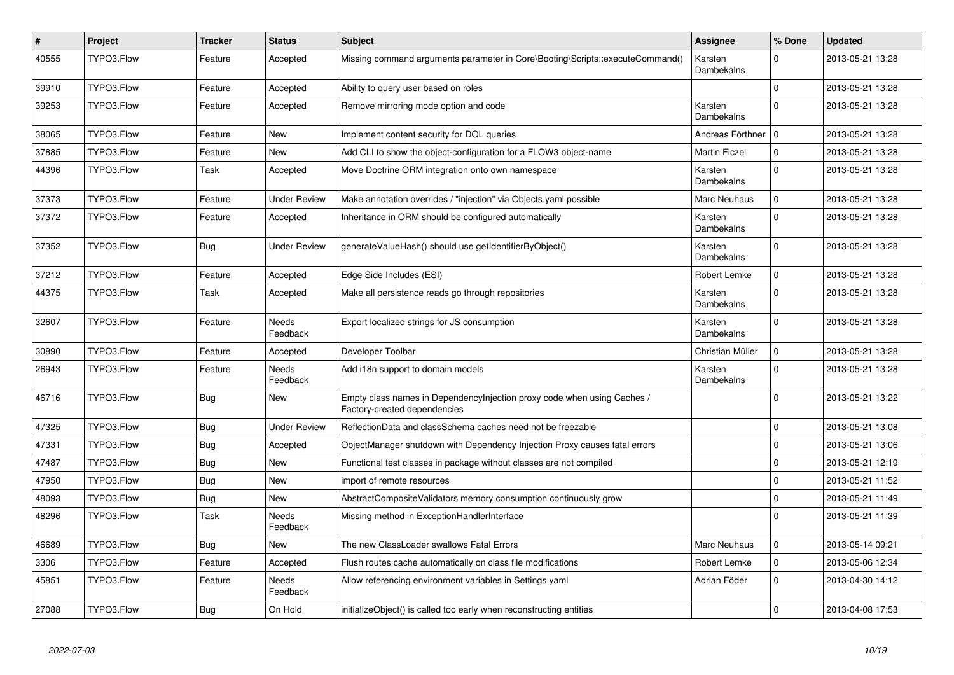| $\vert$ # | Project    | <b>Tracker</b> | <b>Status</b>            | <b>Subject</b>                                                                                          | Assignee              | % Done      | <b>Updated</b>   |
|-----------|------------|----------------|--------------------------|---------------------------------------------------------------------------------------------------------|-----------------------|-------------|------------------|
| 40555     | TYPO3.Flow | Feature        | Accepted                 | Missing command arguments parameter in Core\Booting\Scripts::executeCommand()                           | Karsten<br>Dambekalns | $\Omega$    | 2013-05-21 13:28 |
| 39910     | TYPO3.Flow | Feature        | Accepted                 | Ability to query user based on roles                                                                    |                       | $\mathbf 0$ | 2013-05-21 13:28 |
| 39253     | TYPO3.Flow | Feature        | Accepted                 | Remove mirroring mode option and code                                                                   | Karsten<br>Dambekalns | $\Omega$    | 2013-05-21 13:28 |
| 38065     | TYPO3.Flow | Feature        | <b>New</b>               | Implement content security for DQL queries                                                              | Andreas Förthner   0  |             | 2013-05-21 13:28 |
| 37885     | TYPO3.Flow | Feature        | <b>New</b>               | Add CLI to show the object-configuration for a FLOW3 object-name                                        | <b>Martin Ficzel</b>  | $\mathbf 0$ | 2013-05-21 13:28 |
| 44396     | TYPO3.Flow | Task           | Accepted                 | Move Doctrine ORM integration onto own namespace                                                        | Karsten<br>Dambekalns | $\Omega$    | 2013-05-21 13:28 |
| 37373     | TYPO3.Flow | Feature        | <b>Under Review</b>      | Make annotation overrides / "injection" via Objects yaml possible                                       | Marc Neuhaus          | $\mathbf 0$ | 2013-05-21 13:28 |
| 37372     | TYPO3.Flow | Feature        | Accepted                 | Inheritance in ORM should be configured automatically                                                   | Karsten<br>Dambekalns | $\Omega$    | 2013-05-21 13:28 |
| 37352     | TYPO3.Flow | <b>Bug</b>     | <b>Under Review</b>      | generateValueHash() should use getIdentifierByObject()                                                  | Karsten<br>Dambekalns | $\Omega$    | 2013-05-21 13:28 |
| 37212     | TYPO3.Flow | Feature        | Accepted                 | Edge Side Includes (ESI)                                                                                | Robert Lemke          | $\Omega$    | 2013-05-21 13:28 |
| 44375     | TYPO3.Flow | Task           | Accepted                 | Make all persistence reads go through repositories                                                      | Karsten<br>Dambekalns | $\Omega$    | 2013-05-21 13:28 |
| 32607     | TYPO3.Flow | Feature        | <b>Needs</b><br>Feedback | Export localized strings for JS consumption                                                             | Karsten<br>Dambekalns | $\Omega$    | 2013-05-21 13:28 |
| 30890     | TYPO3.Flow | Feature        | Accepted                 | Developer Toolbar                                                                                       | Christian Müller      | $\mathbf 0$ | 2013-05-21 13:28 |
| 26943     | TYPO3.Flow | Feature        | Needs<br>Feedback        | Add i18n support to domain models                                                                       | Karsten<br>Dambekalns | $\Omega$    | 2013-05-21 13:28 |
| 46716     | TYPO3.Flow | <b>Bug</b>     | <b>New</b>               | Empty class names in Dependencylnjection proxy code when using Caches /<br>Factory-created dependencies |                       | $\mathbf 0$ | 2013-05-21 13:22 |
| 47325     | TYPO3.Flow | Bug            | <b>Under Review</b>      | ReflectionData and classSchema caches need not be freezable                                             |                       | 0           | 2013-05-21 13:08 |
| 47331     | TYPO3.Flow | <b>Bug</b>     | Accepted                 | ObjectManager shutdown with Dependency Injection Proxy causes fatal errors                              |                       | $\mathbf 0$ | 2013-05-21 13:06 |
| 47487     | TYPO3.Flow | Bug            | <b>New</b>               | Functional test classes in package without classes are not compiled                                     |                       | $\mathbf 0$ | 2013-05-21 12:19 |
| 47950     | TYPO3.Flow | <b>Bug</b>     | <b>New</b>               | import of remote resources                                                                              |                       | $\mathbf 0$ | 2013-05-21 11:52 |
| 48093     | TYPO3.Flow | Bug            | <b>New</b>               | AbstractCompositeValidators memory consumption continuously grow                                        |                       | $\mathbf 0$ | 2013-05-21 11:49 |
| 48296     | TYPO3.Flow | Task           | <b>Needs</b><br>Feedback | Missing method in ExceptionHandlerInterface                                                             |                       | $\Omega$    | 2013-05-21 11:39 |
| 46689     | TYPO3.Flow | Bug            | New                      | The new ClassLoader swallows Fatal Errors                                                               | <b>Marc Neuhaus</b>   | $\mathbf 0$ | 2013-05-14 09:21 |
| 3306      | TYPO3.Flow | Feature        | Accepted                 | Flush routes cache automatically on class file modifications                                            | Robert Lemke          | $\mathbf 0$ | 2013-05-06 12:34 |
| 45851     | TYPO3.Flow | Feature        | Needs<br>Feedback        | Allow referencing environment variables in Settings.yaml                                                | Adrian Föder          | $\mathbf 0$ | 2013-04-30 14:12 |
| 27088     | TYPO3.Flow | <b>Bug</b>     | On Hold                  | initializeObject() is called too early when reconstructing entities                                     |                       | 0           | 2013-04-08 17:53 |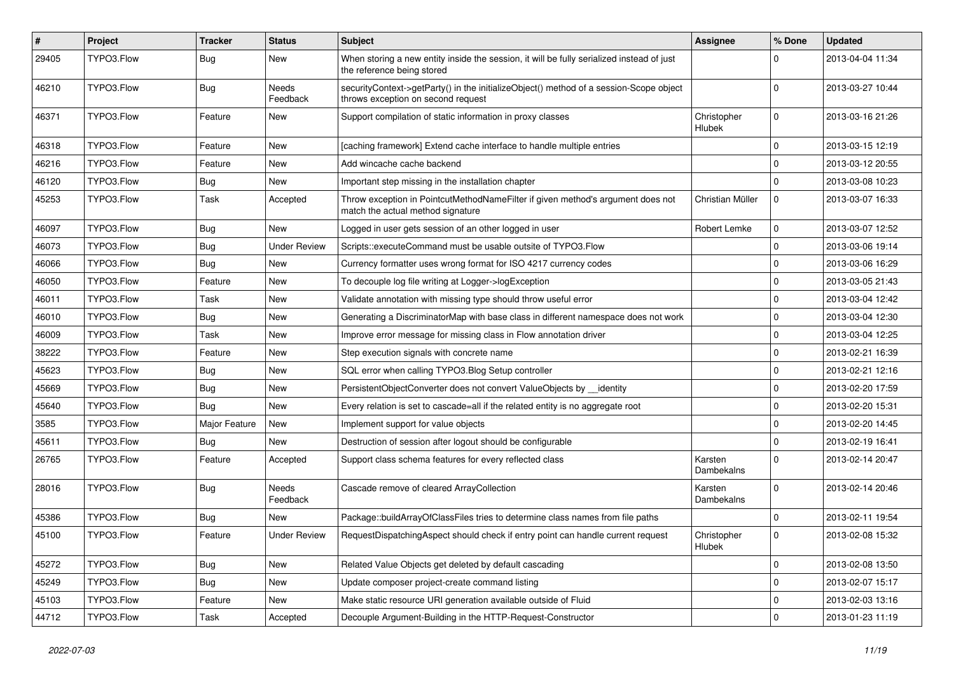| $\vert$ # | Project    | Tracker       | <b>Status</b>       | <b>Subject</b>                                                                                                               | Assignee              | % Done              | <b>Updated</b>   |
|-----------|------------|---------------|---------------------|------------------------------------------------------------------------------------------------------------------------------|-----------------------|---------------------|------------------|
| 29405     | TYPO3.Flow | <b>Bug</b>    | New                 | When storing a new entity inside the session, it will be fully serialized instead of just<br>the reference being stored      |                       | $\Omega$            | 2013-04-04 11:34 |
| 46210     | TYPO3.Flow | Bug           | Needs<br>Feedback   | securityContext->getParty() in the initializeObject() method of a session-Scope object<br>throws exception on second request |                       | $\Omega$            | 2013-03-27 10:44 |
| 46371     | TYPO3.Flow | Feature       | <b>New</b>          | Support compilation of static information in proxy classes                                                                   | Christopher<br>Hlubek | $\mathbf 0$         | 2013-03-16 21:26 |
| 46318     | TYPO3.Flow | Feature       | <b>New</b>          | [caching framework] Extend cache interface to handle multiple entries                                                        |                       | $\mathbf 0$         | 2013-03-15 12:19 |
| 46216     | TYPO3.Flow | Feature       | <b>New</b>          | Add wincache cache backend                                                                                                   |                       | $\mathbf 0$         | 2013-03-12 20:55 |
| 46120     | TYPO3.Flow | <b>Bug</b>    | New                 | Important step missing in the installation chapter                                                                           |                       | $\Omega$            | 2013-03-08 10:23 |
| 45253     | TYPO3.Flow | Task          | Accepted            | Throw exception in PointcutMethodNameFilter if given method's argument does not<br>match the actual method signature         | Christian Müller      | $\mathbf 0$         | 2013-03-07 16:33 |
| 46097     | TYPO3.Flow | <b>Bug</b>    | <b>New</b>          | Logged in user gets session of an other logged in user                                                                       | Robert Lemke          | $\mathbf 0$         | 2013-03-07 12:52 |
| 46073     | TYPO3.Flow | <b>Bug</b>    | <b>Under Review</b> | Scripts::executeCommand must be usable outsite of TYPO3.Flow                                                                 |                       | $\mathbf 0$         | 2013-03-06 19:14 |
| 46066     | TYPO3.Flow | <b>Bug</b>    | New                 | Currency formatter uses wrong format for ISO 4217 currency codes                                                             |                       | 0                   | 2013-03-06 16:29 |
| 46050     | TYPO3.Flow | Feature       | New                 | To decouple log file writing at Logger->logException                                                                         |                       | $\mathbf 0$         | 2013-03-05 21:43 |
| 46011     | TYPO3.Flow | Task          | New                 | Validate annotation with missing type should throw useful error                                                              |                       | $\mathbf 0$         | 2013-03-04 12:42 |
| 46010     | TYPO3.Flow | <b>Bug</b>    | New                 | Generating a DiscriminatorMap with base class in different namespace does not work                                           |                       | 0                   | 2013-03-04 12:30 |
| 46009     | TYPO3.Flow | Task          | New                 | Improve error message for missing class in Flow annotation driver                                                            |                       | 0                   | 2013-03-04 12:25 |
| 38222     | TYPO3.Flow | Feature       | New                 | Step execution signals with concrete name                                                                                    |                       | $\mathbf 0$         | 2013-02-21 16:39 |
| 45623     | TYPO3.Flow | <b>Bug</b>    | New                 | SQL error when calling TYPO3.Blog Setup controller                                                                           |                       | $\mathbf 0$         | 2013-02-21 12:16 |
| 45669     | TYPO3.Flow | <b>Bug</b>    | New                 | PersistentObjectConverter does not convert ValueObjects by __identity                                                        |                       | $\mathbf 0$         | 2013-02-20 17:59 |
| 45640     | TYPO3.Flow | Bug           | New                 | Every relation is set to cascade=all if the related entity is no aggregate root                                              |                       | 0                   | 2013-02-20 15:31 |
| 3585      | TYPO3.Flow | Major Feature | <b>New</b>          | Implement support for value objects                                                                                          |                       | 0                   | 2013-02-20 14:45 |
| 45611     | TYPO3.Flow | Bug           | New                 | Destruction of session after logout should be configurable                                                                   |                       | $\mathbf 0$         | 2013-02-19 16:41 |
| 26765     | TYPO3.Flow | Feature       | Accepted            | Support class schema features for every reflected class                                                                      | Karsten<br>Dambekalns | $\Omega$            | 2013-02-14 20:47 |
| 28016     | TYPO3.Flow | Bug           | Needs<br>Feedback   | Cascade remove of cleared ArrayCollection                                                                                    | Karsten<br>Dambekalns | $\Omega$            | 2013-02-14 20:46 |
| 45386     | TYPO3.Flow | <b>Bug</b>    | <b>New</b>          | Package::buildArrayOfClassFiles tries to determine class names from file paths                                               |                       | $\mathbf 0$         | 2013-02-11 19:54 |
| 45100     | TYPO3.Flow | Feature       | <b>Under Review</b> | RequestDispatchingAspect should check if entry point can handle current request                                              | Christopher<br>Hlubek | $\mathbf 0$         | 2013-02-08 15:32 |
| 45272     | TYPO3.Flow | Bug           | New                 | Related Value Objects get deleted by default cascading                                                                       |                       | 0                   | 2013-02-08 13:50 |
| 45249     | TYPO3.Flow | <b>Bug</b>    | New                 | Update composer project-create command listing                                                                               |                       | $\mathsf{O}\xspace$ | 2013-02-07 15:17 |
| 45103     | TYPO3.Flow | Feature       | New                 | Make static resource URI generation available outside of Fluid                                                               |                       | 0                   | 2013-02-03 13:16 |
| 44712     | TYPO3.Flow | Task          | Accepted            | Decouple Argument-Building in the HTTP-Request-Constructor                                                                   |                       | $\mathbf 0$         | 2013-01-23 11:19 |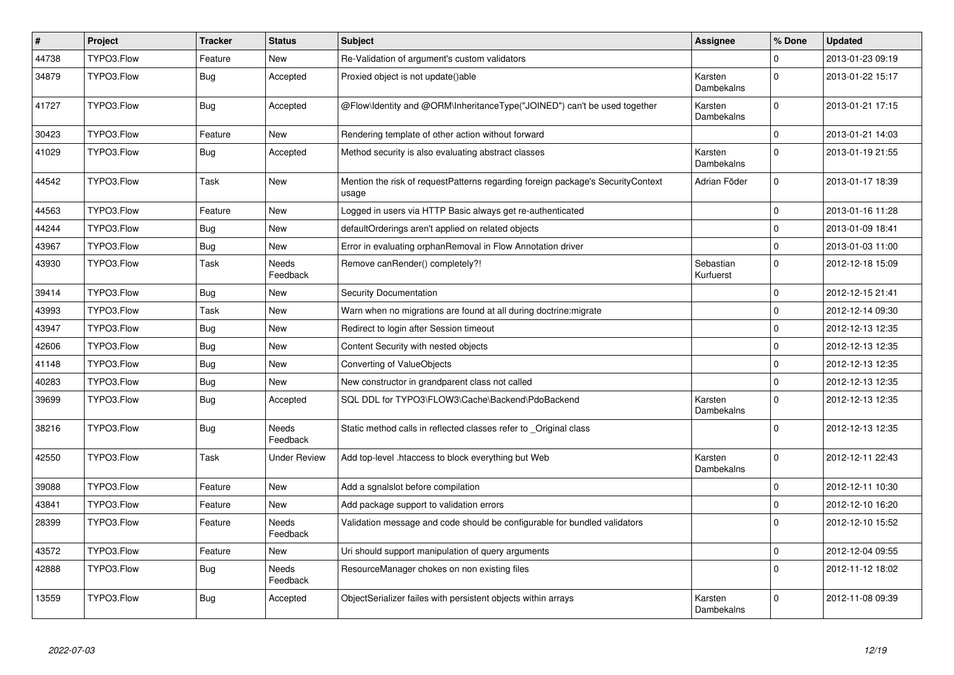| $\vert$ # | Project    | <b>Tracker</b> | <b>Status</b>            | <b>Subject</b>                                                                           | <b>Assignee</b>        | % Done       | <b>Updated</b>   |
|-----------|------------|----------------|--------------------------|------------------------------------------------------------------------------------------|------------------------|--------------|------------------|
| 44738     | TYPO3.Flow | Feature        | New                      | Re-Validation of argument's custom validators                                            |                        | $\Omega$     | 2013-01-23 09:19 |
| 34879     | TYPO3.Flow | <b>Bug</b>     | Accepted                 | Proxied object is not update()able                                                       | Karsten<br>Dambekalns  | $\Omega$     | 2013-01-22 15:17 |
| 41727     | TYPO3.Flow | <b>Bug</b>     | Accepted                 | @Flow\Identity and @ORM\InheritanceType("JOINED") can't be used together                 | Karsten<br>Dambekalns  | $\Omega$     | 2013-01-21 17:15 |
| 30423     | TYPO3.Flow | Feature        | <b>New</b>               | Rendering template of other action without forward                                       |                        | $\Omega$     | 2013-01-21 14:03 |
| 41029     | TYPO3.Flow | Bug            | Accepted                 | Method security is also evaluating abstract classes                                      | Karsten<br>Dambekalns  | $\Omega$     | 2013-01-19 21:55 |
| 44542     | TYPO3.Flow | Task           | <b>New</b>               | Mention the risk of requestPatterns regarding foreign package's SecurityContext<br>usage | Adrian Föder           | $\Omega$     | 2013-01-17 18:39 |
| 44563     | TYPO3.Flow | Feature        | <b>New</b>               | Logged in users via HTTP Basic always get re-authenticated                               |                        | $\mathbf 0$  | 2013-01-16 11:28 |
| 44244     | TYPO3.Flow | Bug            | <b>New</b>               | defaultOrderings aren't applied on related objects                                       |                        | $\mathbf 0$  | 2013-01-09 18:41 |
| 43967     | TYPO3.Flow | <b>Bug</b>     | <b>New</b>               | Error in evaluating orphanRemoval in Flow Annotation driver                              |                        | $\Omega$     | 2013-01-03 11:00 |
| 43930     | TYPO3.Flow | Task           | <b>Needs</b><br>Feedback | Remove canRender() completely?!                                                          | Sebastian<br>Kurfuerst | $\Omega$     | 2012-12-18 15:09 |
| 39414     | TYPO3.Flow | <b>Bug</b>     | <b>New</b>               | Security Documentation                                                                   |                        | $\Omega$     | 2012-12-15 21:41 |
| 43993     | TYPO3.Flow | Task           | <b>New</b>               | Warn when no migrations are found at all during doctrine: migrate                        |                        | $\mathbf 0$  | 2012-12-14 09:30 |
| 43947     | TYPO3.Flow | <b>Bug</b>     | <b>New</b>               | Redirect to login after Session timeout                                                  |                        | $\Omega$     | 2012-12-13 12:35 |
| 42606     | TYPO3.Flow | Bug            | <b>New</b>               | Content Security with nested objects                                                     |                        | $\mathbf 0$  | 2012-12-13 12:35 |
| 41148     | TYPO3.Flow | Bug            | <b>New</b>               | Converting of ValueObjects                                                               |                        | $\Omega$     | 2012-12-13 12:35 |
| 40283     | TYPO3.Flow | Bug            | <b>New</b>               | New constructor in grandparent class not called                                          |                        | $\Omega$     | 2012-12-13 12:35 |
| 39699     | TYPO3.Flow | Bug            | Accepted                 | SQL DDL for TYPO3\FLOW3\Cache\Backend\PdoBackend                                         | Karsten<br>Dambekalns  | $\Omega$     | 2012-12-13 12:35 |
| 38216     | TYPO3.Flow | <b>Bug</b>     | Needs<br>Feedback        | Static method calls in reflected classes refer to _Original class                        |                        | $\Omega$     | 2012-12-13 12:35 |
| 42550     | TYPO3.Flow | Task           | <b>Under Review</b>      | Add top-level .htaccess to block everything but Web                                      | Karsten<br>Dambekalns  | $\Omega$     | 2012-12-11 22:43 |
| 39088     | TYPO3.Flow | Feature        | <b>New</b>               | Add a sgnalslot before compilation                                                       |                        | $\mathsf{O}$ | 2012-12-11 10:30 |
| 43841     | TYPO3.Flow | Feature        | <b>New</b>               | Add package support to validation errors                                                 |                        | $\mathbf 0$  | 2012-12-10 16:20 |
| 28399     | TYPO3.Flow | Feature        | <b>Needs</b><br>Feedback | Validation message and code should be configurable for bundled validators                |                        | $\Omega$     | 2012-12-10 15:52 |
| 43572     | TYPO3.Flow | Feature        | <b>New</b>               | Uri should support manipulation of query arguments                                       |                        | $\Omega$     | 2012-12-04 09:55 |
| 42888     | TYPO3.Flow | <b>Bug</b>     | <b>Needs</b><br>Feedback | ResourceManager chokes on non existing files                                             |                        | $\Omega$     | 2012-11-12 18:02 |
| 13559     | TYPO3.Flow | <b>Bug</b>     | Accepted                 | ObjectSerializer failes with persistent objects within arrays                            | Karsten<br>Dambekalns  | $\Omega$     | 2012-11-08 09:39 |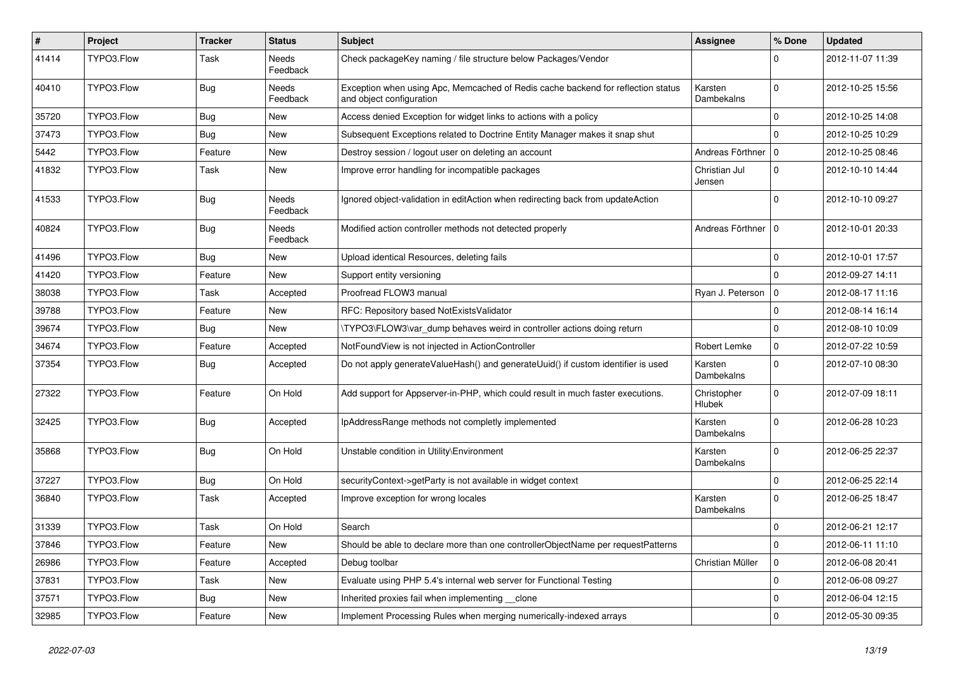| $\vert$ # | Project    | Tracker    | <b>Status</b>            | <b>Subject</b>                                                                                               | Assignee                | % Done              | <b>Updated</b>   |
|-----------|------------|------------|--------------------------|--------------------------------------------------------------------------------------------------------------|-------------------------|---------------------|------------------|
| 41414     | TYPO3.Flow | Task       | Needs<br>Feedback        | Check packageKey naming / file structure below Packages/Vendor                                               |                         | $\Omega$            | 2012-11-07 11:39 |
| 40410     | TYPO3.Flow | Bug        | Needs<br>Feedback        | Exception when using Apc, Memcached of Redis cache backend for reflection status<br>and object configuration | Karsten<br>Dambekalns   | $\mathbf 0$         | 2012-10-25 15:56 |
| 35720     | TYPO3.Flow | Bug        | <b>New</b>               | Access denied Exception for widget links to actions with a policy                                            |                         | 0                   | 2012-10-25 14:08 |
| 37473     | TYPO3.Flow | <b>Bug</b> | New                      | Subsequent Exceptions related to Doctrine Entity Manager makes it snap shut                                  |                         | $\Omega$            | 2012-10-25 10:29 |
| 5442      | TYPO3.Flow | Feature    | New                      | Destroy session / logout user on deleting an account                                                         | Andreas Förthner        | l O                 | 2012-10-25 08:46 |
| 41832     | TYPO3.Flow | Task       | New                      | Improve error handling for incompatible packages                                                             | Christian Jul<br>Jensen | $\mathbf 0$         | 2012-10-10 14:44 |
| 41533     | TYPO3.Flow | Bug        | <b>Needs</b><br>Feedback | Ignored object-validation in editAction when redirecting back from updateAction                              |                         | $\Omega$            | 2012-10-10 09:27 |
| 40824     | TYPO3.Flow | <b>Bug</b> | Needs<br>Feedback        | Modified action controller methods not detected properly                                                     | Andreas Förthner        | $\mathbf 0$         | 2012-10-01 20:33 |
| 41496     | TYPO3.Flow | Bug        | New                      | Upload identical Resources, deleting fails                                                                   |                         | $\mathbf 0$         | 2012-10-01 17:57 |
| 41420     | TYPO3.Flow | Feature    | New                      | Support entity versioning                                                                                    |                         | $\Omega$            | 2012-09-27 14:11 |
| 38038     | TYPO3.Flow | Task       | Accepted                 | Proofread FLOW3 manual                                                                                       | Ryan J. Peterson        | $\mathbf 0$         | 2012-08-17 11:16 |
| 39788     | TYPO3.Flow | Feature    | New                      | RFC: Repository based NotExistsValidator                                                                     |                         | 0                   | 2012-08-14 16:14 |
| 39674     | TYPO3.Flow | <b>Bug</b> | <b>New</b>               | \TYPO3\FLOW3\var_dump behaves weird in controller actions doing return                                       |                         | $\mathbf 0$         | 2012-08-10 10:09 |
| 34674     | TYPO3.Flow | Feature    | Accepted                 | NotFoundView is not injected in ActionController                                                             | Robert Lemke            | 0                   | 2012-07-22 10:59 |
| 37354     | TYPO3.Flow | Bug        | Accepted                 | Do not apply generateValueHash() and generateUuid() if custom identifier is used                             | Karsten<br>Dambekalns   | $\mathbf 0$         | 2012-07-10 08:30 |
| 27322     | TYPO3.Flow | Feature    | On Hold                  | Add support for Appserver-in-PHP, which could result in much faster executions.                              | Christopher<br>Hlubek   | $\mathbf 0$         | 2012-07-09 18:11 |
| 32425     | TYPO3.Flow | Bug        | Accepted                 | IpAddressRange methods not completly implemented                                                             | Karsten<br>Dambekalns   | $\Omega$            | 2012-06-28 10:23 |
| 35868     | TYPO3.Flow | <b>Bug</b> | On Hold                  | Unstable condition in Utility\Environment                                                                    | Karsten<br>Dambekalns   | $\Omega$            | 2012-06-25 22:37 |
| 37227     | TYPO3.Flow | Bug        | On Hold                  | securityContext->getParty is not available in widget context                                                 |                         | $\mathbf 0$         | 2012-06-25 22:14 |
| 36840     | TYPO3.Flow | Task       | Accepted                 | Improve exception for wrong locales                                                                          | Karsten<br>Dambekalns   | $\Omega$            | 2012-06-25 18:47 |
| 31339     | TYPO3.Flow | Task       | On Hold                  | Search                                                                                                       |                         | 0                   | 2012-06-21 12:17 |
| 37846     | TYPO3.Flow | Feature    | New                      | Should be able to declare more than one controllerObjectName per requestPatterns                             |                         | 0                   | 2012-06-11 11:10 |
| 26986     | TYPO3.Flow | Feature    | Accepted                 | Debug toolbar                                                                                                | Christian Müller        | $\mathbf 0$         | 2012-06-08 20:41 |
| 37831     | TYPO3.Flow | Task       | New                      | Evaluate using PHP 5.4's internal web server for Functional Testing                                          |                         | $\mathbf 0$         | 2012-06-08 09:27 |
| 37571     | TYPO3.Flow | <b>Bug</b> | New                      | Inherited proxies fail when implementing clone                                                               |                         | 0                   | 2012-06-04 12:15 |
| 32985     | TYPO3.Flow | Feature    | New                      | Implement Processing Rules when merging numerically-indexed arrays                                           |                         | $\mathsf{O}\xspace$ | 2012-05-30 09:35 |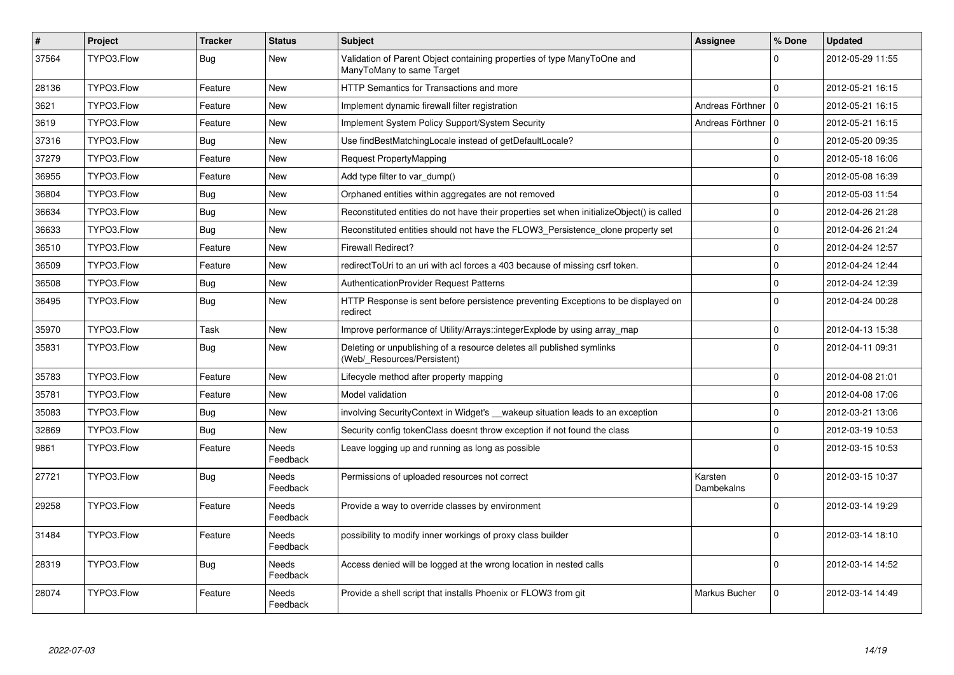| $\vert$ # | Project    | <b>Tracker</b> | <b>Status</b>            | <b>Subject</b>                                                                                       | <b>Assignee</b>       | % Done         | <b>Updated</b>   |
|-----------|------------|----------------|--------------------------|------------------------------------------------------------------------------------------------------|-----------------------|----------------|------------------|
| 37564     | TYPO3.Flow | <b>Bug</b>     | <b>New</b>               | Validation of Parent Object containing properties of type ManyToOne and<br>ManyToMany to same Target |                       | $\Omega$       | 2012-05-29 11:55 |
| 28136     | TYPO3.Flow | Feature        | New                      | HTTP Semantics for Transactions and more                                                             |                       | $\Omega$       | 2012-05-21 16:15 |
| 3621      | TYPO3.Flow | Feature        | <b>New</b>               | Implement dynamic firewall filter registration                                                       | Andreas Förthner 10   |                | 2012-05-21 16:15 |
| 3619      | TYPO3.Flow | Feature        | <b>New</b>               | Implement System Policy Support/System Security                                                      | Andreas Förthner      | $\overline{0}$ | 2012-05-21 16:15 |
| 37316     | TYPO3.Flow | Bug            | New                      | Use findBestMatchingLocale instead of getDefaultLocale?                                              |                       | $\mathbf 0$    | 2012-05-20 09:35 |
| 37279     | TYPO3.Flow | Feature        | <b>New</b>               | Request PropertyMapping                                                                              |                       | $\Omega$       | 2012-05-18 16:06 |
| 36955     | TYPO3.Flow | Feature        | <b>New</b>               | Add type filter to var dump()                                                                        |                       | $\mathbf 0$    | 2012-05-08 16:39 |
| 36804     | TYPO3.Flow | <b>Bug</b>     | New                      | Orphaned entities within aggregates are not removed                                                  |                       | $\mathbf 0$    | 2012-05-03 11:54 |
| 36634     | TYPO3.Flow | <b>Bug</b>     | New                      | Reconstituted entities do not have their properties set when initializeObject() is called            |                       | $\mathbf 0$    | 2012-04-26 21:28 |
| 36633     | TYPO3.Flow | <b>Bug</b>     | New                      | Reconstituted entities should not have the FLOW3_Persistence_clone property set                      |                       | $\mathbf 0$    | 2012-04-26 21:24 |
| 36510     | TYPO3.Flow | Feature        | <b>New</b>               | <b>Firewall Redirect?</b>                                                                            |                       | $\mathbf 0$    | 2012-04-24 12:57 |
| 36509     | TYPO3.Flow | Feature        | New                      | redirectToUri to an uri with acl forces a 403 because of missing csrf token.                         |                       | $\mathbf 0$    | 2012-04-24 12:44 |
| 36508     | TYPO3.Flow | Bug            | New                      | <b>AuthenticationProvider Request Patterns</b>                                                       |                       | $\mathbf 0$    | 2012-04-24 12:39 |
| 36495     | TYPO3.Flow | <b>Bug</b>     | <b>New</b>               | HTTP Response is sent before persistence preventing Exceptions to be displayed on<br>redirect        |                       | $\Omega$       | 2012-04-24 00:28 |
| 35970     | TYPO3.Flow | Task           | <b>New</b>               | Improve performance of Utility/Arrays::integerExplode by using array map                             |                       | $\mathsf 0$    | 2012-04-13 15:38 |
| 35831     | TYPO3.Flow | Bug            | <b>New</b>               | Deleting or unpublishing of a resource deletes all published symlinks<br>(Web/_Resources/Persistent) |                       | $\Omega$       | 2012-04-11 09:31 |
| 35783     | TYPO3.Flow | Feature        | <b>New</b>               | Lifecycle method after property mapping                                                              |                       | $\mathbf 0$    | 2012-04-08 21:01 |
| 35781     | TYPO3.Flow | Feature        | <b>New</b>               | Model validation                                                                                     |                       | $\Omega$       | 2012-04-08 17:06 |
| 35083     | TYPO3.Flow | <b>Bug</b>     | <b>New</b>               | involving SecurityContext in Widget's __wakeup situation leads to an exception                       |                       | $\mathbf 0$    | 2012-03-21 13:06 |
| 32869     | TYPO3.Flow | Bug            | New                      | Security config tokenClass doesnt throw exception if not found the class                             |                       | $\mathbf 0$    | 2012-03-19 10:53 |
| 9861      | TYPO3.Flow | Feature        | <b>Needs</b><br>Feedback | Leave logging up and running as long as possible                                                     |                       | $\Omega$       | 2012-03-15 10:53 |
| 27721     | TYPO3.Flow | Bug            | Needs<br>Feedback        | Permissions of uploaded resources not correct                                                        | Karsten<br>Dambekalns | $\Omega$       | 2012-03-15 10:37 |
| 29258     | TYPO3.Flow | Feature        | Needs<br>Feedback        | Provide a way to override classes by environment                                                     |                       | $\Omega$       | 2012-03-14 19:29 |
| 31484     | TYPO3.Flow | Feature        | Needs<br>Feedback        | possibility to modify inner workings of proxy class builder                                          |                       | $\Omega$       | 2012-03-14 18:10 |
| 28319     | TYPO3.Flow | <b>Bug</b>     | Needs<br>Feedback        | Access denied will be logged at the wrong location in nested calls                                   |                       | $\Omega$       | 2012-03-14 14:52 |
| 28074     | TYPO3.Flow | Feature        | Needs<br>Feedback        | Provide a shell script that installs Phoenix or FLOW3 from git                                       | Markus Bucher         | $\Omega$       | 2012-03-14 14:49 |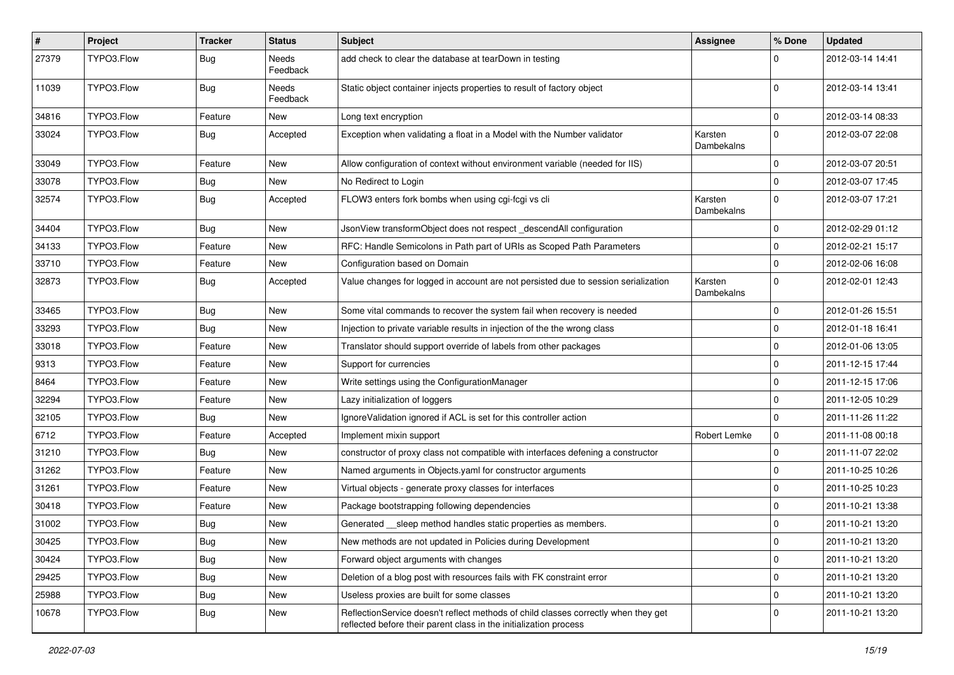| #     | Project    | <b>Tracker</b> | <b>Status</b>            | <b>Subject</b>                                                                                                                                          | <b>Assignee</b>       | % Done      | <b>Updated</b>   |
|-------|------------|----------------|--------------------------|---------------------------------------------------------------------------------------------------------------------------------------------------------|-----------------------|-------------|------------------|
| 27379 | TYPO3.Flow | <b>Bug</b>     | <b>Needs</b><br>Feedback | add check to clear the database at tearDown in testing                                                                                                  |                       |             | 2012-03-14 14:41 |
| 11039 | TYPO3.Flow | <b>Bug</b>     | Needs<br>Feedback        | Static object container injects properties to result of factory object                                                                                  |                       | $\Omega$    | 2012-03-14 13:41 |
| 34816 | TYPO3.Flow | Feature        | <b>New</b>               | Long text encryption                                                                                                                                    |                       | $\mathbf 0$ | 2012-03-14 08:33 |
| 33024 | TYPO3.Flow | <b>Bug</b>     | Accepted                 | Exception when validating a float in a Model with the Number validator                                                                                  | Karsten<br>Dambekalns | $\Omega$    | 2012-03-07 22:08 |
| 33049 | TYPO3.Flow | Feature        | New                      | Allow configuration of context without environment variable (needed for IIS)                                                                            |                       | 0           | 2012-03-07 20:51 |
| 33078 | TYPO3.Flow | <b>Bug</b>     | New                      | No Redirect to Login                                                                                                                                    |                       | $\mathbf 0$ | 2012-03-07 17:45 |
| 32574 | TYPO3.Flow | <b>Bug</b>     | Accepted                 | FLOW3 enters fork bombs when using cgi-fcgi vs cli                                                                                                      | Karsten<br>Dambekalns | $\Omega$    | 2012-03-07 17:21 |
| 34404 | TYPO3.Flow | <b>Bug</b>     | <b>New</b>               | JsonView transformObject does not respect descendAll configuration                                                                                      |                       | $\mathbf 0$ | 2012-02-29 01:12 |
| 34133 | TYPO3.Flow | Feature        | <b>New</b>               | RFC: Handle Semicolons in Path part of URIs as Scoped Path Parameters                                                                                   |                       | $\Omega$    | 2012-02-21 15:17 |
| 33710 | TYPO3.Flow | Feature        | New                      | Configuration based on Domain                                                                                                                           |                       | $\Omega$    | 2012-02-06 16:08 |
| 32873 | TYPO3.Flow | Bug            | Accepted                 | Value changes for logged in account are not persisted due to session serialization                                                                      | Karsten<br>Dambekalns | $\Omega$    | 2012-02-01 12:43 |
| 33465 | TYPO3.Flow | <b>Bug</b>     | <b>New</b>               | Some vital commands to recover the system fail when recovery is needed                                                                                  |                       | $\Omega$    | 2012-01-26 15:51 |
| 33293 | TYPO3.Flow | <b>Bug</b>     | <b>New</b>               | Injection to private variable results in injection of the the wrong class                                                                               |                       | 0           | 2012-01-18 16:41 |
| 33018 | TYPO3.Flow | Feature        | New                      | Translator should support override of labels from other packages                                                                                        |                       | $\mathbf 0$ | 2012-01-06 13:05 |
| 9313  | TYPO3.Flow | Feature        | New                      | Support for currencies                                                                                                                                  |                       | $\mathbf 0$ | 2011-12-15 17:44 |
| 8464  | TYPO3.Flow | Feature        | <b>New</b>               | Write settings using the ConfigurationManager                                                                                                           |                       | $\mathbf 0$ | 2011-12-15 17:06 |
| 32294 | TYPO3.Flow | Feature        | New                      | Lazy initialization of loggers                                                                                                                          |                       | $\mathbf 0$ | 2011-12-05 10:29 |
| 32105 | TYPO3.Flow | <b>Bug</b>     | <b>New</b>               | IgnoreValidation ignored if ACL is set for this controller action                                                                                       |                       | $\mathbf 0$ | 2011-11-26 11:22 |
| 6712  | TYPO3.Flow | Feature        | Accepted                 | Implement mixin support                                                                                                                                 | Robert Lemke          | 0           | 2011-11-08 00:18 |
| 31210 | TYPO3.Flow | <b>Bug</b>     | New                      | constructor of proxy class not compatible with interfaces defening a constructor                                                                        |                       | $\mathbf 0$ | 2011-11-07 22:02 |
| 31262 | TYPO3.Flow | Feature        | <b>New</b>               | Named arguments in Objects.yaml for constructor arguments                                                                                               |                       | 0           | 2011-10-25 10:26 |
| 31261 | TYPO3.Flow | Feature        | New                      | Virtual objects - generate proxy classes for interfaces                                                                                                 |                       | $\mathbf 0$ | 2011-10-25 10:23 |
| 30418 | TYPO3.Flow | Feature        | New                      | Package bootstrapping following dependencies                                                                                                            |                       | $\mathbf 0$ | 2011-10-21 13:38 |
| 31002 | TYPO3.Flow | Bug            | New                      | Generated __sleep method handles static properties as members.                                                                                          |                       | 0           | 2011-10-21 13:20 |
| 30425 | TYPO3.Flow | Bug            | New                      | New methods are not updated in Policies during Development                                                                                              |                       | 0           | 2011-10-21 13:20 |
| 30424 | TYPO3.Flow | Bug            | New                      | Forward object arguments with changes                                                                                                                   |                       | 0           | 2011-10-21 13:20 |
| 29425 | TYPO3.Flow | <b>Bug</b>     | New                      | Deletion of a blog post with resources fails with FK constraint error                                                                                   |                       | $\mathbf 0$ | 2011-10-21 13:20 |
| 25988 | TYPO3.Flow | <b>Bug</b>     | New                      | Useless proxies are built for some classes                                                                                                              |                       | 0           | 2011-10-21 13:20 |
| 10678 | TYPO3.Flow | <b>Bug</b>     | New                      | ReflectionService doesn't reflect methods of child classes correctly when they get<br>reflected before their parent class in the initialization process |                       | 0           | 2011-10-21 13:20 |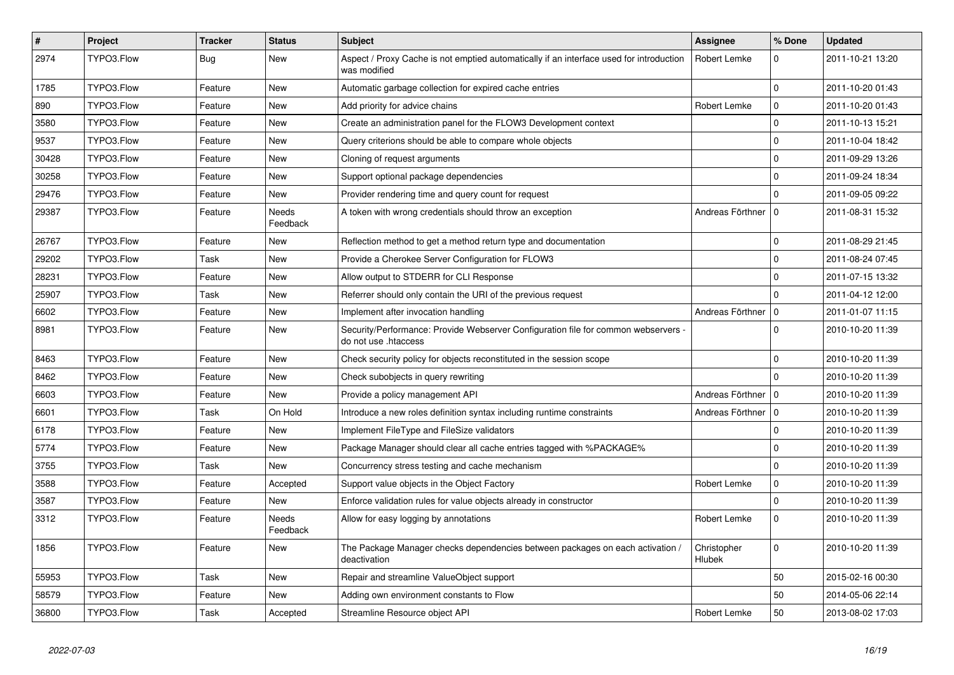| $\sharp$ | <b>Project</b> | <b>Tracker</b> | <b>Status</b>            | <b>Subject</b>                                                                                             | <b>Assignee</b>       | % Done      | <b>Updated</b>   |
|----------|----------------|----------------|--------------------------|------------------------------------------------------------------------------------------------------------|-----------------------|-------------|------------------|
| 2974     | TYPO3.Flow     | <b>Bug</b>     | <b>New</b>               | Aspect / Proxy Cache is not emptied automatically if an interface used for introduction<br>was modified    | Robert Lemke          | $\Omega$    | 2011-10-21 13:20 |
| 1785     | TYPO3.Flow     | Feature        | New                      | Automatic garbage collection for expired cache entries                                                     |                       | $\Omega$    | 2011-10-20 01:43 |
| 890      | TYPO3.Flow     | Feature        | <b>New</b>               | Add priority for advice chains                                                                             | Robert Lemke          | $\mathbf 0$ | 2011-10-20 01:43 |
| 3580     | TYPO3.Flow     | Feature        | New                      | Create an administration panel for the FLOW3 Development context                                           |                       | $\Omega$    | 2011-10-13 15:21 |
| 9537     | TYPO3.Flow     | Feature        | New                      | Query criterions should be able to compare whole objects                                                   |                       | $\mathbf 0$ | 2011-10-04 18:42 |
| 30428    | TYPO3.Flow     | Feature        | New                      | Cloning of request arguments                                                                               |                       | $\mathbf 0$ | 2011-09-29 13:26 |
| 30258    | TYPO3.Flow     | Feature        | New                      | Support optional package dependencies                                                                      |                       | $\Omega$    | 2011-09-24 18:34 |
| 29476    | TYPO3.Flow     | Feature        | New                      | Provider rendering time and query count for request                                                        |                       | $\Omega$    | 2011-09-05 09:22 |
| 29387    | TYPO3.Flow     | Feature        | Needs<br>Feedback        | A token with wrong credentials should throw an exception                                                   | Andreas Förthner      | l 0         | 2011-08-31 15:32 |
| 26767    | TYPO3.Flow     | Feature        | <b>New</b>               | Reflection method to get a method return type and documentation                                            |                       | $\Omega$    | 2011-08-29 21:45 |
| 29202    | TYPO3.Flow     | Task           | <b>New</b>               | Provide a Cherokee Server Configuration for FLOW3                                                          |                       | $\Omega$    | 2011-08-24 07:45 |
| 28231    | TYPO3.Flow     | Feature        | New                      | Allow output to STDERR for CLI Response                                                                    |                       | $\Omega$    | 2011-07-15 13:32 |
| 25907    | TYPO3.Flow     | Task           | New                      | Referrer should only contain the URI of the previous request                                               |                       | $\Omega$    | 2011-04-12 12:00 |
| 6602     | TYPO3.Flow     | Feature        | New                      | Implement after invocation handling                                                                        | Andreas Förthner      | I٥          | 2011-01-07 11:15 |
| 8981     | TYPO3.Flow     | Feature        | New                      | Security/Performance: Provide Webserver Configuration file for common webservers -<br>do not use .htaccess |                       | $\Omega$    | 2010-10-20 11:39 |
| 8463     | TYPO3.Flow     | Feature        | <b>New</b>               | Check security policy for objects reconstituted in the session scope                                       |                       | $\Omega$    | 2010-10-20 11:39 |
| 8462     | TYPO3.Flow     | Feature        | <b>New</b>               | Check subobjects in query rewriting                                                                        |                       | $\Omega$    | 2010-10-20 11:39 |
| 6603     | TYPO3.Flow     | Feature        | <b>New</b>               | Provide a policy management API                                                                            | Andreas Förthner      | l o         | 2010-10-20 11:39 |
| 6601     | TYPO3.Flow     | Task           | On Hold                  | Introduce a new roles definition syntax including runtime constraints                                      | Andreas Förthner      | l o         | 2010-10-20 11:39 |
| 6178     | TYPO3.Flow     | Feature        | <b>New</b>               | Implement FileType and FileSize validators                                                                 |                       | $\Omega$    | 2010-10-20 11:39 |
| 5774     | TYPO3.Flow     | Feature        | <b>New</b>               | Package Manager should clear all cache entries tagged with %PACKAGE%                                       |                       | $\Omega$    | 2010-10-20 11:39 |
| 3755     | TYPO3.Flow     | Task           | New                      | Concurrency stress testing and cache mechanism                                                             |                       | $\mathbf 0$ | 2010-10-20 11:39 |
| 3588     | TYPO3.Flow     | Feature        | Accepted                 | Support value objects in the Object Factory                                                                | Robert Lemke          | l o         | 2010-10-20 11:39 |
| 3587     | TYPO3.Flow     | Feature        | <b>New</b>               | Enforce validation rules for value objects already in constructor                                          |                       | $\Omega$    | 2010-10-20 11:39 |
| 3312     | TYPO3.Flow     | Feature        | <b>Needs</b><br>Feedback | Allow for easy logging by annotations                                                                      | Robert Lemke          | $\Omega$    | 2010-10-20 11:39 |
| 1856     | TYPO3.Flow     | Feature        | <b>New</b>               | The Package Manager checks dependencies between packages on each activation /<br>deactivation              | Christopher<br>Hlubek | $\Omega$    | 2010-10-20 11:39 |
| 55953    | TYPO3.Flow     | Task           | New                      | Repair and streamline ValueObject support                                                                  |                       | 50          | 2015-02-16 00:30 |
| 58579    | TYPO3.Flow     | Feature        | New                      | Adding own environment constants to Flow                                                                   |                       | 50          | 2014-05-06 22:14 |
| 36800    | TYPO3.Flow     | Task           | Accepted                 | Streamline Resource object API                                                                             | Robert Lemke          | 50          | 2013-08-02 17:03 |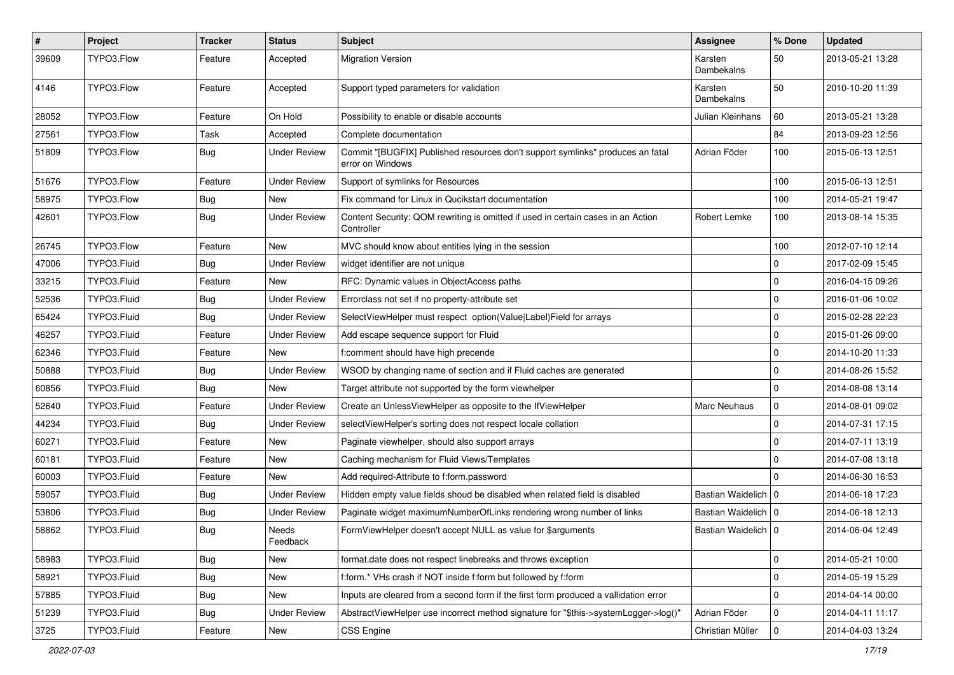| $\pmb{\#}$ | Project     | <b>Tracker</b> | <b>Status</b>       | Subject                                                                                            | <b>Assignee</b>       | % Done      | <b>Updated</b>   |
|------------|-------------|----------------|---------------------|----------------------------------------------------------------------------------------------------|-----------------------|-------------|------------------|
| 39609      | TYPO3.Flow  | Feature        | Accepted            | <b>Migration Version</b>                                                                           | Karsten<br>Dambekalns | 50          | 2013-05-21 13:28 |
| 4146       | TYPO3.Flow  | Feature        | Accepted            | Support typed parameters for validation                                                            | Karsten<br>Dambekalns | 50          | 2010-10-20 11:39 |
| 28052      | TYPO3.Flow  | Feature        | On Hold             | Possibility to enable or disable accounts                                                          | Julian Kleinhans      | 60          | 2013-05-21 13:28 |
| 27561      | TYPO3.Flow  | Task           | Accepted            | Complete documentation                                                                             |                       | 84          | 2013-09-23 12:56 |
| 51809      | TYPO3.Flow  | <b>Bug</b>     | <b>Under Review</b> | Commit "[BUGFIX] Published resources don't support symlinks" produces an fatal<br>error on Windows | Adrian Föder          | 100         | 2015-06-13 12:51 |
| 51676      | TYPO3.Flow  | Feature        | <b>Under Review</b> | Support of symlinks for Resources                                                                  |                       | 100         | 2015-06-13 12:51 |
| 58975      | TYPO3.Flow  | <b>Bug</b>     | <b>New</b>          | Fix command for Linux in Qucikstart documentation                                                  |                       | 100         | 2014-05-21 19:47 |
| 42601      | TYPO3.Flow  | Bug            | <b>Under Review</b> | Content Security: QOM rewriting is omitted if used in certain cases in an Action<br>Controller     | Robert Lemke          | 100         | 2013-08-14 15:35 |
| 26745      | TYPO3.Flow  | Feature        | <b>New</b>          | MVC should know about entities lying in the session                                                |                       | 100         | 2012-07-10 12:14 |
| 47006      | TYPO3.Fluid | <b>Bug</b>     | <b>Under Review</b> | widget identifier are not unique                                                                   |                       | $\mathbf 0$ | 2017-02-09 15:45 |
| 33215      | TYPO3.Fluid | Feature        | <b>New</b>          | RFC: Dynamic values in ObjectAccess paths                                                          |                       | $\mathbf 0$ | 2016-04-15 09:26 |
| 52536      | TYPO3.Fluid | <b>Bug</b>     | <b>Under Review</b> | Errorclass not set if no property-attribute set                                                    |                       | 0           | 2016-01-06 10:02 |
| 65424      | TYPO3.Fluid | Bug            | <b>Under Review</b> | SelectViewHelper must respect option(Value Label)Field for arrays                                  |                       | $\mathbf 0$ | 2015-02-28 22:23 |
| 46257      | TYPO3.Fluid | Feature        | <b>Under Review</b> | Add escape sequence support for Fluid                                                              |                       | 0           | 2015-01-26 09:00 |
| 62346      | TYPO3.Fluid | Feature        | <b>New</b>          | f:comment should have high precende                                                                |                       | $\mathbf 0$ | 2014-10-20 11:33 |
| 50888      | TYPO3.Fluid | <b>Bug</b>     | <b>Under Review</b> | WSOD by changing name of section and if Fluid caches are generated                                 |                       | $\mathbf 0$ | 2014-08-26 15:52 |
| 60856      | TYPO3.Fluid | Bug            | New                 | Target attribute not supported by the form viewhelper                                              |                       | $\mathbf 0$ | 2014-08-08 13:14 |
| 52640      | TYPO3.Fluid | Feature        | <b>Under Review</b> | Create an UnlessViewHelper as opposite to the IfViewHelper                                         | Marc Neuhaus          | $\mathbf 0$ | 2014-08-01 09:02 |
| 44234      | TYPO3.Fluid | <b>Bug</b>     | <b>Under Review</b> | selectViewHelper's sorting does not respect locale collation                                       |                       | $\mathbf 0$ | 2014-07-31 17:15 |
| 60271      | TYPO3.Fluid | Feature        | New                 | Paginate viewhelper, should also support arrays                                                    |                       | $\mathbf 0$ | 2014-07-11 13:19 |
| 60181      | TYPO3.Fluid | Feature        | New                 | Caching mechanism for Fluid Views/Templates                                                        |                       | $\mathbf 0$ | 2014-07-08 13:18 |
| 60003      | TYPO3.Fluid | Feature        | <b>New</b>          | Add required-Attribute to f:form.password                                                          |                       | $\Omega$    | 2014-06-30 16:53 |
| 59057      | TYPO3.Fluid | Bug            | <b>Under Review</b> | Hidden empty value fields shoud be disabled when related field is disabled                         | Bastian Waidelich   0 |             | 2014-06-18 17:23 |
| 53806      | TYPO3.Fluid | <b>Bug</b>     | <b>Under Review</b> | Paginate widget maximumNumberOfLinks rendering wrong number of links                               | Bastian Waidelich   0 |             | 2014-06-18 12:13 |
| 58862      | TYPO3.Fluid | Bug            | Needs<br>Feedback   | FormViewHelper doesn't accept NULL as value for \$arguments                                        | Bastian Waidelich   0 |             | 2014-06-04 12:49 |
| 58983      | TYPO3.Fluid | <b>Bug</b>     | <b>New</b>          | format.date does not respect linebreaks and throws exception                                       |                       | 0           | 2014-05-21 10:00 |
| 58921      | TYPO3.Fluid | <b>Bug</b>     | New                 | f:form.* VHs crash if NOT inside f:form but followed by f:form                                     |                       | $\mathbf 0$ | 2014-05-19 15:29 |
| 57885      | TYPO3.Fluid | <b>Bug</b>     | New                 | Inputs are cleared from a second form if the first form produced a vallidation error               |                       | 0           | 2014-04-14 00:00 |
| 51239      | TYPO3.Fluid | <b>Bug</b>     | <b>Under Review</b> | AbstractViewHelper use incorrect method signature for "\$this->systemLogger->log()"                | Adrian Föder          | 0           | 2014-04-11 11:17 |
| 3725       | TYPO3.Fluid | Feature        | New                 | CSS Engine                                                                                         | Christian Müller      | $\mathbf 0$ | 2014-04-03 13:24 |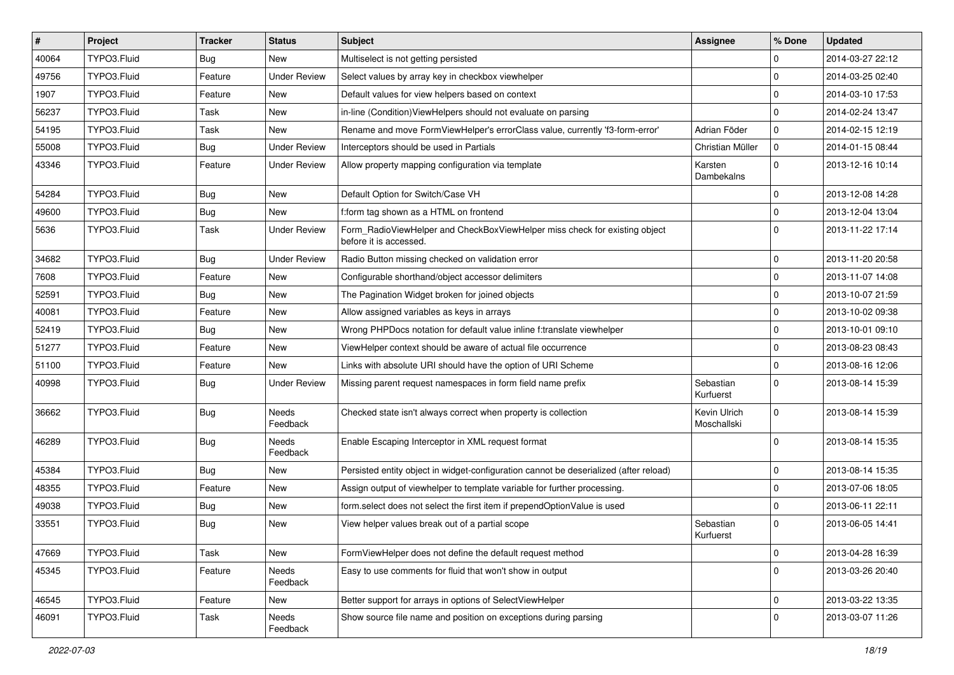| #     | Project     | <b>Tracker</b> | <b>Status</b>       | Subject                                                                                              | <b>Assignee</b>             | % Done      | <b>Updated</b>   |
|-------|-------------|----------------|---------------------|------------------------------------------------------------------------------------------------------|-----------------------------|-------------|------------------|
| 40064 | TYPO3.Fluid | Bug            | New                 | Multiselect is not getting persisted                                                                 |                             | 0           | 2014-03-27 22:12 |
| 49756 | TYPO3.Fluid | Feature        | <b>Under Review</b> | Select values by array key in checkbox viewhelper                                                    |                             | $\mathbf 0$ | 2014-03-25 02:40 |
| 1907  | TYPO3.Fluid | Feature        | <b>New</b>          | Default values for view helpers based on context                                                     |                             | $\mathbf 0$ | 2014-03-10 17:53 |
| 56237 | TYPO3.Fluid | Task           | <b>New</b>          | in-line (Condition) View Helpers should not evaluate on parsing                                      |                             | $\mathbf 0$ | 2014-02-24 13:47 |
| 54195 | TYPO3.Fluid | Task           | <b>New</b>          | Rename and move FormViewHelper's errorClass value, currently 'f3-form-error'                         | Adrian Föder                | $\mathbf 0$ | 2014-02-15 12:19 |
| 55008 | TYPO3.Fluid | Bug            | <b>Under Review</b> | Interceptors should be used in Partials                                                              | Christian Müller            | $\mathbf 0$ | 2014-01-15 08:44 |
| 43346 | TYPO3.Fluid | Feature        | <b>Under Review</b> | Allow property mapping configuration via template                                                    | Karsten<br>Dambekalns       | $\Omega$    | 2013-12-16 10:14 |
| 54284 | TYPO3.Fluid | Bug            | <b>New</b>          | Default Option for Switch/Case VH                                                                    |                             | $\mathbf 0$ | 2013-12-08 14:28 |
| 49600 | TYPO3.Fluid | Bug            | <b>New</b>          | f:form tag shown as a HTML on frontend                                                               |                             | $\mathbf 0$ | 2013-12-04 13:04 |
| 5636  | TYPO3.Fluid | Task           | <b>Under Review</b> | Form RadioViewHelper and CheckBoxViewHelper miss check for existing object<br>before it is accessed. |                             | $\Omega$    | 2013-11-22 17:14 |
| 34682 | TYPO3.Fluid | Bug            | <b>Under Review</b> | Radio Button missing checked on validation error                                                     |                             | $\mathbf 0$ | 2013-11-20 20:58 |
| 7608  | TYPO3.Fluid | Feature        | New                 | Configurable shorthand/object accessor delimiters                                                    |                             | $\mathbf 0$ | 2013-11-07 14:08 |
| 52591 | TYPO3.Fluid | Bug            | <b>New</b>          | The Pagination Widget broken for joined objects                                                      |                             | $\mathbf 0$ | 2013-10-07 21:59 |
| 40081 | TYPO3.Fluid | Feature        | New                 | Allow assigned variables as keys in arrays                                                           |                             | $\mathbf 0$ | 2013-10-02 09:38 |
| 52419 | TYPO3.Fluid | Bug            | <b>New</b>          | Wrong PHPDocs notation for default value inline f:translate viewhelper                               |                             | $\mathbf 0$ | 2013-10-01 09:10 |
| 51277 | TYPO3.Fluid | Feature        | <b>New</b>          | ViewHelper context should be aware of actual file occurrence                                         |                             | $\mathbf 0$ | 2013-08-23 08:43 |
| 51100 | TYPO3.Fluid | Feature        | New                 | Links with absolute URI should have the option of URI Scheme                                         |                             | $\mathbf 0$ | 2013-08-16 12:06 |
| 40998 | TYPO3.Fluid | <b>Bug</b>     | <b>Under Review</b> | Missing parent request namespaces in form field name prefix                                          | Sebastian<br>Kurfuerst      | $\Omega$    | 2013-08-14 15:39 |
| 36662 | TYPO3.Fluid | <b>Bug</b>     | Needs<br>Feedback   | Checked state isn't always correct when property is collection                                       | Kevin Ulrich<br>Moschallski | $\Omega$    | 2013-08-14 15:39 |
| 46289 | TYPO3.Fluid | Bug            | Needs<br>Feedback   | Enable Escaping Interceptor in XML request format                                                    |                             | $\Omega$    | 2013-08-14 15:35 |
| 45384 | TYPO3.Fluid | Bug            | New                 | Persisted entity object in widget-configuration cannot be deserialized (after reload)                |                             | $\mathbf 0$ | 2013-08-14 15:35 |
| 48355 | TYPO3.Fluid | Feature        | <b>New</b>          | Assign output of viewhelper to template variable for further processing.                             |                             | $\mathbf 0$ | 2013-07-06 18:05 |
| 49038 | TYPO3.Fluid | <b>Bug</b>     | <b>New</b>          | form.select does not select the first item if prependOptionValue is used                             |                             | $\mathbf 0$ | 2013-06-11 22:11 |
| 33551 | TYPO3.Fluid | Bug            | <b>New</b>          | View helper values break out of a partial scope                                                      | Sebastian<br>Kurfuerst      | $\Omega$    | 2013-06-05 14:41 |
| 47669 | TYPO3.Fluid | Task           | New                 | FormViewHelper does not define the default request method                                            |                             | $\mathbf 0$ | 2013-04-28 16:39 |
| 45345 | TYPO3.Fluid | Feature        | Needs<br>Feedback   | Easy to use comments for fluid that won't show in output                                             |                             | 0           | 2013-03-26 20:40 |
| 46545 | TYPO3.Fluid | Feature        | New                 | Better support for arrays in options of SelectViewHelper                                             |                             | 0           | 2013-03-22 13:35 |
| 46091 | TYPO3.Fluid | Task           | Needs<br>Feedback   | Show source file name and position on exceptions during parsing                                      |                             | $\mathbf 0$ | 2013-03-07 11:26 |